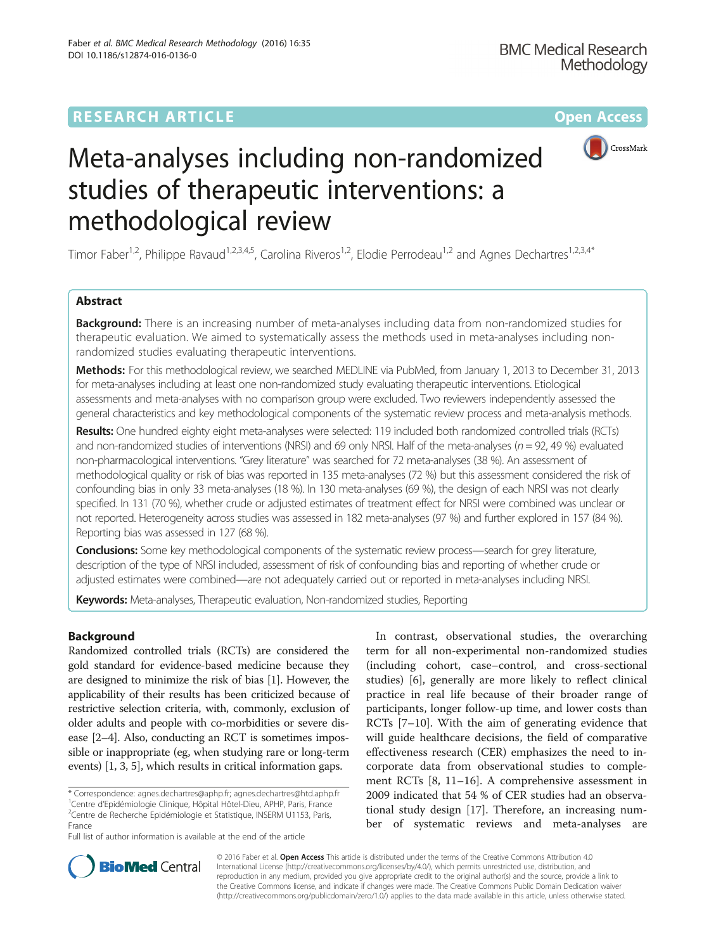

# Meta-analyses including non-randomized studies of therapeutic interventions: a methodological review

Timor Faber<sup>1,2</sup>, Philippe Ravaud<sup>1,2,3,4,5</sup>, Carolina Riveros<sup>1,2</sup>, Elodie Perrodeau<sup>1,2</sup> and Agnes Dechartres<sup>1,2,3,4\*</sup>

# Abstract

**Background:** There is an increasing number of meta-analyses including data from non-randomized studies for therapeutic evaluation. We aimed to systematically assess the methods used in meta-analyses including nonrandomized studies evaluating therapeutic interventions.

Methods: For this methodological review, we searched MEDLINE via PubMed, from January 1, 2013 to December 31, 2013 for meta-analyses including at least one non-randomized study evaluating therapeutic interventions. Etiological assessments and meta-analyses with no comparison group were excluded. Two reviewers independently assessed the general characteristics and key methodological components of the systematic review process and meta-analysis methods.

Results: One hundred eighty eight meta-analyses were selected: 119 included both randomized controlled trials (RCTs) and non-randomized studies of interventions (NRSI) and 69 only NRSI. Half of the meta-analyses ( $n = 92$ , 49 %) evaluated non-pharmacological interventions. "Grey literature" was searched for 72 meta-analyses (38 %). An assessment of methodological quality or risk of bias was reported in 135 meta-analyses (72 %) but this assessment considered the risk of confounding bias in only 33 meta-analyses (18 %). In 130 meta-analyses (69 %), the design of each NRSI was not clearly specified. In 131 (70 %), whether crude or adjusted estimates of treatment effect for NRSI were combined was unclear or not reported. Heterogeneity across studies was assessed in 182 meta-analyses (97 %) and further explored in 157 (84 %). Reporting bias was assessed in 127 (68 %).

Conclusions: Some key methodological components of the systematic review process—search for grey literature, description of the type of NRSI included, assessment of risk of confounding bias and reporting of whether crude or adjusted estimates were combined—are not adequately carried out or reported in meta-analyses including NRSI.

Keywords: Meta-analyses, Therapeutic evaluation, Non-randomized studies, Reporting

# Background

Randomized controlled trials (RCTs) are considered the gold standard for evidence-based medicine because they are designed to minimize the risk of bias [\[1](#page-23-0)]. However, the applicability of their results has been criticized because of restrictive selection criteria, with, commonly, exclusion of older adults and people with co-morbidities or severe disease [\[2](#page-23-0)–[4\]](#page-23-0). Also, conducting an RCT is sometimes impossible or inappropriate (eg, when studying rare or long-term events) [\[1](#page-23-0), [3](#page-23-0), [5\]](#page-23-0), which results in critical information gaps.

\* Correspondence: [agnes.dechartres@aphp.fr](mailto:agnes.dechartres@aphp.fr); [agnes.dechartres@htd.aphp.fr](mailto:agnes.dechartres@htd.aphp.fr) <sup>1</sup>

<sup>1</sup> Centre d'Epidémiologie Clinique, Hôpital Hôtel-Dieu, APHP, Paris, France <sup>2</sup> Centre de Recherche Epidémiologie et Statistique, INSERM U1153, Paris, France

Full list of author information is available at the end of the article

In contrast, observational studies, the overarching term for all non-experimental non-randomized studies (including cohort, case–control, and cross-sectional studies) [[6\]](#page-23-0), generally are more likely to reflect clinical practice in real life because of their broader range of participants, longer follow-up time, and lower costs than RCTs [\[7](#page-23-0)–[10\]](#page-23-0). With the aim of generating evidence that will guide healthcare decisions, the field of comparative effectiveness research (CER) emphasizes the need to incorporate data from observational studies to complement RCTs [\[8](#page-23-0), [11](#page-23-0)–[16\]](#page-23-0). A comprehensive assessment in 2009 indicated that 54 % of CER studies had an observational study design [\[17\]](#page-24-0). Therefore, an increasing number of systematic reviews and meta-analyses are



© 2016 Faber et al. Open Access This article is distributed under the terms of the Creative Commons Attribution 4.0 International License [\(http://creativecommons.org/licenses/by/4.0/](http://creativecommons.org/licenses/by/4.0/)), which permits unrestricted use, distribution, and reproduction in any medium, provided you give appropriate credit to the original author(s) and the source, provide a link to the Creative Commons license, and indicate if changes were made. The Creative Commons Public Domain Dedication waiver [\(http://creativecommons.org/publicdomain/zero/1.0/](http://creativecommons.org/publicdomain/zero/1.0/)) applies to the data made available in this article, unless otherwise stated.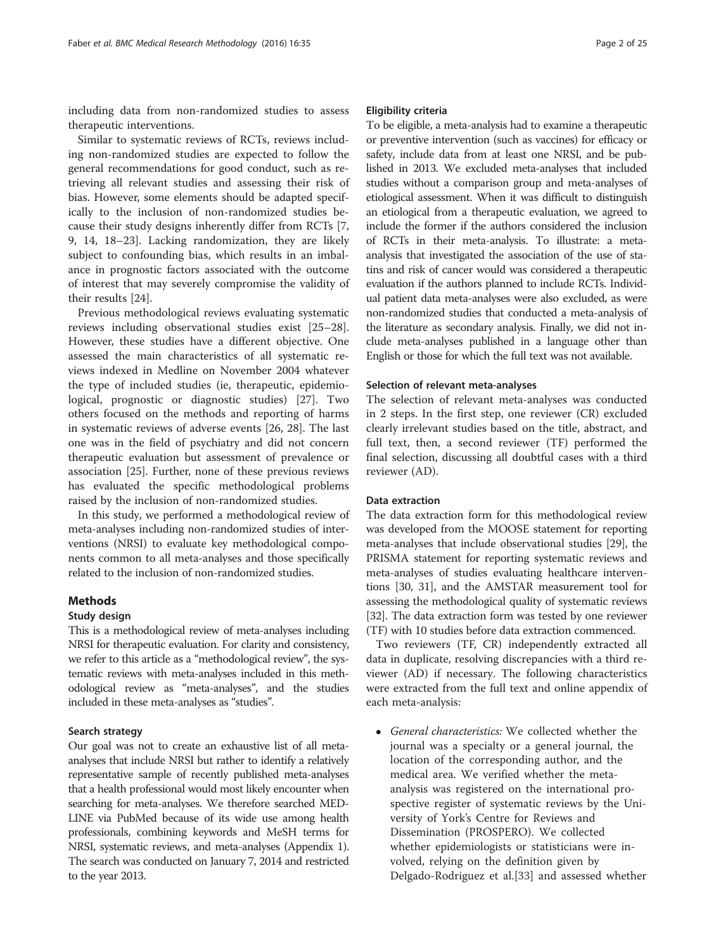including data from non-randomized studies to assess therapeutic interventions.

Similar to systematic reviews of RCTs, reviews including non-randomized studies are expected to follow the general recommendations for good conduct, such as retrieving all relevant studies and assessing their risk of bias. However, some elements should be adapted specifically to the inclusion of non-randomized studies because their study designs inherently differ from RCTs [\[7](#page-23-0), [9, 14](#page-23-0), [18](#page-24-0)–[23](#page-24-0)]. Lacking randomization, they are likely subject to confounding bias, which results in an imbalance in prognostic factors associated with the outcome of interest that may severely compromise the validity of their results [[24](#page-24-0)].

Previous methodological reviews evaluating systematic reviews including observational studies exist [[25](#page-24-0)–[28](#page-24-0)]. However, these studies have a different objective. One assessed the main characteristics of all systematic reviews indexed in Medline on November 2004 whatever the type of included studies (ie, therapeutic, epidemiological, prognostic or diagnostic studies) [[27](#page-24-0)]. Two others focused on the methods and reporting of harms in systematic reviews of adverse events [[26, 28\]](#page-24-0). The last one was in the field of psychiatry and did not concern therapeutic evaluation but assessment of prevalence or association [\[25\]](#page-24-0). Further, none of these previous reviews has evaluated the specific methodological problems raised by the inclusion of non-randomized studies.

In this study, we performed a methodological review of meta-analyses including non-randomized studies of interventions (NRSI) to evaluate key methodological components common to all meta-analyses and those specifically related to the inclusion of non-randomized studies.

## Methods

# Study design

This is a methodological review of meta-analyses including NRSI for therapeutic evaluation. For clarity and consistency, we refer to this article as a "methodological review", the systematic reviews with meta-analyses included in this methodological review as "meta-analyses", and the studies included in these meta-analyses as "studies".

#### Search strategy

Our goal was not to create an exhaustive list of all metaanalyses that include NRSI but rather to identify a relatively representative sample of recently published meta-analyses that a health professional would most likely encounter when searching for meta-analyses. We therefore searched MED-LINE via PubMed because of its wide use among health professionals, combining keywords and MeSH terms for NRSI, systematic reviews, and meta-analyses [\(Appendix 1](#page-8-0)). The search was conducted on January 7, 2014 and restricted to the year 2013.

# Eligibility criteria

To be eligible, a meta-analysis had to examine a therapeutic or preventive intervention (such as vaccines) for efficacy or safety, include data from at least one NRSI, and be published in 2013. We excluded meta-analyses that included studies without a comparison group and meta-analyses of etiological assessment. When it was difficult to distinguish an etiological from a therapeutic evaluation, we agreed to include the former if the authors considered the inclusion of RCTs in their meta-analysis. To illustrate: a metaanalysis that investigated the association of the use of statins and risk of cancer would was considered a therapeutic evaluation if the authors planned to include RCTs. Individual patient data meta-analyses were also excluded, as were non-randomized studies that conducted a meta-analysis of the literature as secondary analysis. Finally, we did not include meta-analyses published in a language other than English or those for which the full text was not available.

#### Selection of relevant meta-analyses

The selection of relevant meta-analyses was conducted in 2 steps. In the first step, one reviewer (CR) excluded clearly irrelevant studies based on the title, abstract, and full text, then, a second reviewer (TF) performed the final selection, discussing all doubtful cases with a third reviewer (AD).

### Data extraction

The data extraction form for this methodological review was developed from the MOOSE statement for reporting meta-analyses that include observational studies [\[29](#page-24-0)], the PRISMA statement for reporting systematic reviews and meta-analyses of studies evaluating healthcare interventions [[30, 31\]](#page-24-0), and the AMSTAR measurement tool for assessing the methodological quality of systematic reviews [[32](#page-24-0)]. The data extraction form was tested by one reviewer (TF) with 10 studies before data extraction commenced.

Two reviewers (TF, CR) independently extracted all data in duplicate, resolving discrepancies with a third reviewer (AD) if necessary. The following characteristics were extracted from the full text and online appendix of each meta-analysis:

 General characteristics: We collected whether the journal was a specialty or a general journal, the location of the corresponding author, and the medical area. We verified whether the metaanalysis was registered on the international prospective register of systematic reviews by the University of York's Centre for Reviews and Dissemination (PROSPERO). We collected whether epidemiologists or statisticians were involved, relying on the definition given by Delgado-Rodriguez et al.[\[33\]](#page-24-0) and assessed whether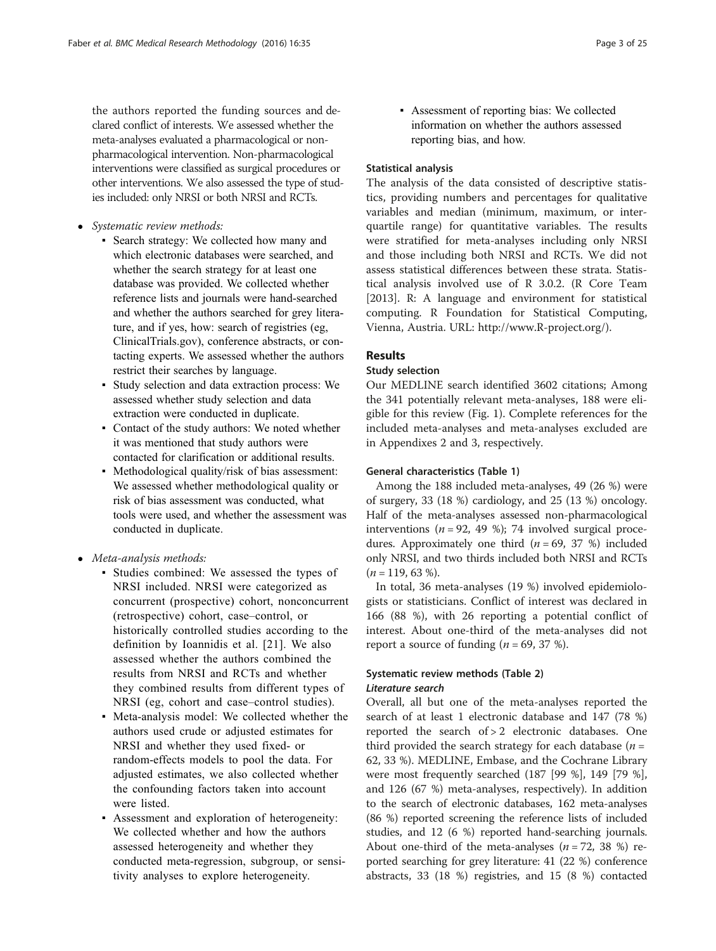the authors reported the funding sources and declared conflict of interests. We assessed whether the meta-analyses evaluated a pharmacological or nonpharmacological intervention. Non-pharmacological interventions were classified as surgical procedures or other interventions. We also assessed the type of studies included: only NRSI or both NRSI and RCTs.

- Systematic review methods:
	- Search strategy: We collected how many and which electronic databases were searched, and whether the search strategy for at least one database was provided. We collected whether reference lists and journals were hand-searched and whether the authors searched for grey literature, and if yes, how: search of registries (eg, ClinicalTrials.gov), conference abstracts, or contacting experts. We assessed whether the authors restrict their searches by language.
	- Study selection and data extraction process: We assessed whether study selection and data extraction were conducted in duplicate.
	- Contact of the study authors: We noted whether it was mentioned that study authors were contacted for clarification or additional results.
	- Methodological quality/risk of bias assessment: We assessed whether methodological quality or risk of bias assessment was conducted, what tools were used, and whether the assessment was conducted in duplicate.
- Meta-analysis methods:
	- Studies combined: We assessed the types of NRSI included. NRSI were categorized as concurrent (prospective) cohort, nonconcurrent (retrospective) cohort, case–control, or historically controlled studies according to the definition by Ioannidis et al. [21]. We also assessed whether the authors combined the results from NRSI and RCTs and whether they combined results from different types of NRSI (eg, cohort and case–control studies).
	- Meta-analysis model: We collected whether the authors used crude or adjusted estimates for NRSI and whether they used fixed- or random-effects models to pool the data. For adjusted estimates, we also collected whether the confounding factors taken into account were listed.
	- Assessment and exploration of heterogeneity: We collected whether and how the authors assessed heterogeneity and whether they conducted meta-regression, subgroup, or sensitivity analyses to explore heterogeneity.

▪ Assessment of reporting bias: We collected information on whether the authors assessed reporting bias, and how.

# Statistical analysis

The analysis of the data consisted of descriptive statistics, providing numbers and percentages for qualitative variables and median (minimum, maximum, or interquartile range) for quantitative variables. The results were stratified for meta-analyses including only NRSI and those including both NRSI and RCTs. We did not assess statistical differences between these strata. Statistical analysis involved use of R 3.0.2. (R Core Team [2013]. R: A language and environment for statistical computing. R Foundation for Statistical Computing, Vienna, Austria. URL: [http://www.R-project.org/\)](http://www.r-project.org/).

# Results

# Study selection

Our MEDLINE search identified 3602 citations; Among the 341 potentially relevant meta-analyses, 188 were eligible for this review (Fig. [1](#page-3-0)). Complete references for the included meta-analyses and meta-analyses excluded are in [Appendixes 2](#page-9-0) and [3](#page-17-0), respectively.

# General characteristics (Table [1\)](#page-4-0)

Among the 188 included meta-analyses, 49 (26 %) were of surgery, 33 (18 %) cardiology, and 25 (13 %) oncology. Half of the meta-analyses assessed non-pharmacological interventions ( $n = 92, 49$  %); 74 involved surgical procedures. Approximately one third ( $n = 69$ , 37 %) included only NRSI, and two thirds included both NRSI and RCTs  $(n = 119, 63 \%)$ .

In total, 36 meta-analyses (19 %) involved epidemiologists or statisticians. Conflict of interest was declared in 166 (88 %), with 26 reporting a potential conflict of interest. About one-third of the meta-analyses did not report a source of funding  $(n = 69, 37 \%)$ .

# Systematic review methods (Table [2\)](#page-5-0) Literature search

Overall, all but one of the meta-analyses reported the search of at least 1 electronic database and 147 (78 %) reported the search of > 2 electronic databases. One third provided the search strategy for each database  $(n =$ 62, 33 %). MEDLINE, Embase, and the Cochrane Library were most frequently searched (187 [99 %], 149 [79 %], and 126 (67 %) meta-analyses, respectively). In addition to the search of electronic databases, 162 meta-analyses (86 %) reported screening the reference lists of included studies, and 12 (6 %) reported hand-searching journals. About one-third of the meta-analyses  $(n = 72, 38 \%)$  reported searching for grey literature: 41 (22 %) conference abstracts, 33 (18 %) registries, and 15 (8 %) contacted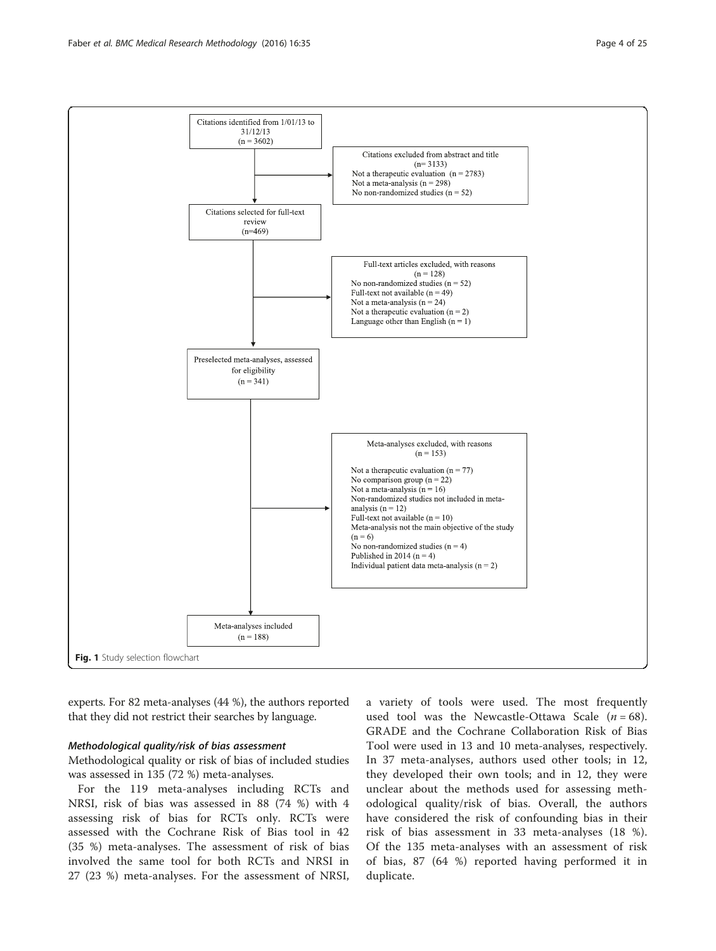<span id="page-3-0"></span>

experts. For 82 meta-analyses (44 %), the authors reported that they did not restrict their searches by language.

# Methodological quality/risk of bias assessment

Methodological quality or risk of bias of included studies was assessed in 135 (72 %) meta-analyses.

For the 119 meta-analyses including RCTs and NRSI, risk of bias was assessed in 88 (74 %) with 4 assessing risk of bias for RCTs only. RCTs were assessed with the Cochrane Risk of Bias tool in 42 (35 %) meta-analyses. The assessment of risk of bias involved the same tool for both RCTs and NRSI in 27 (23 %) meta-analyses. For the assessment of NRSI, a variety of tools were used. The most frequently used tool was the Newcastle-Ottawa Scale  $(n = 68)$ . GRADE and the Cochrane Collaboration Risk of Bias Tool were used in 13 and 10 meta-analyses, respectively. In 37 meta-analyses, authors used other tools; in 12, they developed their own tools; and in 12, they were unclear about the methods used for assessing methodological quality/risk of bias. Overall, the authors have considered the risk of confounding bias in their risk of bias assessment in 33 meta-analyses (18 %). Of the 135 meta-analyses with an assessment of risk of bias, 87 (64 %) reported having performed it in duplicate.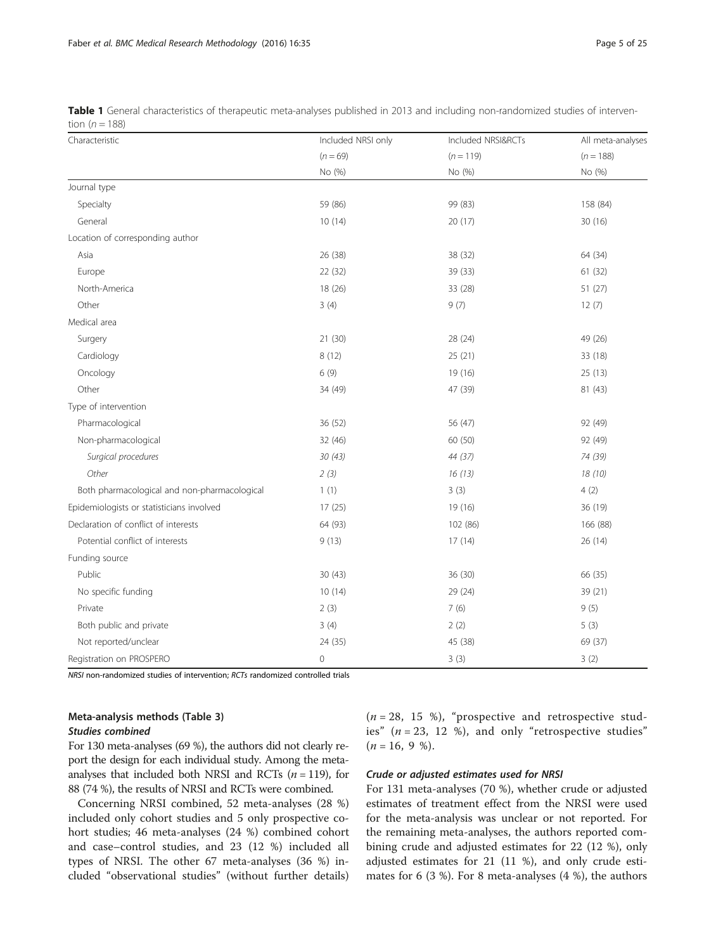| Characteristic                               | Included NRSI only | Included NRSI&RCTs | All meta-analyses |  |
|----------------------------------------------|--------------------|--------------------|-------------------|--|
|                                              | $(n = 69)$         | $(n = 119)$        | $(n = 188)$       |  |
|                                              | No (%)             | No (%)             | No (%)            |  |
| Journal type                                 |                    |                    |                   |  |
| Specialty                                    | 59 (86)            | 99 (83)            | 158 (84)          |  |
| General                                      | 10(14)             | 20(17)             | 30 (16)           |  |
| Location of corresponding author             |                    |                    |                   |  |
| Asia                                         | 26 (38)            | 38 (32)            | 64 (34)           |  |
| Europe                                       | 22 (32)            | 39 (33)            | 61(32)            |  |
| North-America                                | 18 (26)            | 33 (28)            | 51 (27)           |  |
| Other                                        | 3(4)               | 9(7)               | 12(7)             |  |
| Medical area                                 |                    |                    |                   |  |
| Surgery                                      | 21 (30)            | 28 (24)            | 49 (26)           |  |
| Cardiology                                   | 8(12)              | 25 (21)            | 33 (18)           |  |
| Oncology                                     | 6(9)               | 19 (16)            | 25(13)            |  |
| Other                                        | 34 (49)            | 47 (39)            | 81 (43)           |  |
| Type of intervention                         |                    |                    |                   |  |
| Pharmacological                              | 36 (52)            | 56 (47)            | 92 (49)           |  |
| Non-pharmacological                          | 32 (46)            | 60 (50)            | 92 (49)           |  |
| Surgical procedures                          | 30(43)             | 44 (37)            | 74 (39)           |  |
| Other                                        | 2(3)               | 16(13)             | 18(10)            |  |
| Both pharmacological and non-pharmacological | 1(1)               | 3(3)               | 4(2)              |  |
| Epidemiologists or statisticians involved    | 17 (25)            | 19 (16)            | 36 (19)           |  |
| Declaration of conflict of interests         | 64 (93)            | 102 (86)           | 166 (88)          |  |
| Potential conflict of interests              | 9(13)              | 17(14)             | 26(14)            |  |
| Funding source                               |                    |                    |                   |  |
| Public                                       | 30(43)             | 36 (30)            | 66 (35)           |  |
| No specific funding                          | 10(14)             | 29 (24)            | 39 (21)           |  |
| Private                                      | 2(3)               | 7(6)               | 9(5)              |  |
| Both public and private                      | 3(4)               | 2(2)               | 5(3)              |  |
| Not reported/unclear                         | 24 (35)            | 45 (38)            | 69 (37)           |  |
| Registration on PROSPERO                     | $\mathbf 0$        | 3(3)               | 3(2)              |  |

<span id="page-4-0"></span>Table 1 General characteristics of therapeutic meta-analyses published in 2013 and including non-randomized studies of intervention ( $n = 188$ )

NRSI non-randomized studies of intervention; RCTs randomized controlled trials

# Meta-analysis methods (Table [3\)](#page-7-0) Studies combined

For 130 meta-analyses (69 %), the authors did not clearly report the design for each individual study. Among the metaanalyses that included both NRSI and RCTs  $(n = 119)$ , for 88 (74 %), the results of NRSI and RCTs were combined.

Concerning NRSI combined, 52 meta-analyses (28 %) included only cohort studies and 5 only prospective cohort studies; 46 meta-analyses (24 %) combined cohort and case–control studies, and 23 (12 %) included all types of NRSI. The other 67 meta-analyses (36 %) included "observational studies" (without further details)  $(n = 28, 15 \%)$ , "prospective and retrospective studies"  $(n = 23, 12, 8)$ , and only "retrospective studies"  $(n = 16, 9, 9).$ 

### Crude or adjusted estimates used for NRSI

For 131 meta-analyses (70 %), whether crude or adjusted estimates of treatment effect from the NRSI were used for the meta-analysis was unclear or not reported. For the remaining meta-analyses, the authors reported combining crude and adjusted estimates for 22 (12 %), only adjusted estimates for 21 (11 %), and only crude estimates for 6 (3 %). For 8 meta-analyses (4 %), the authors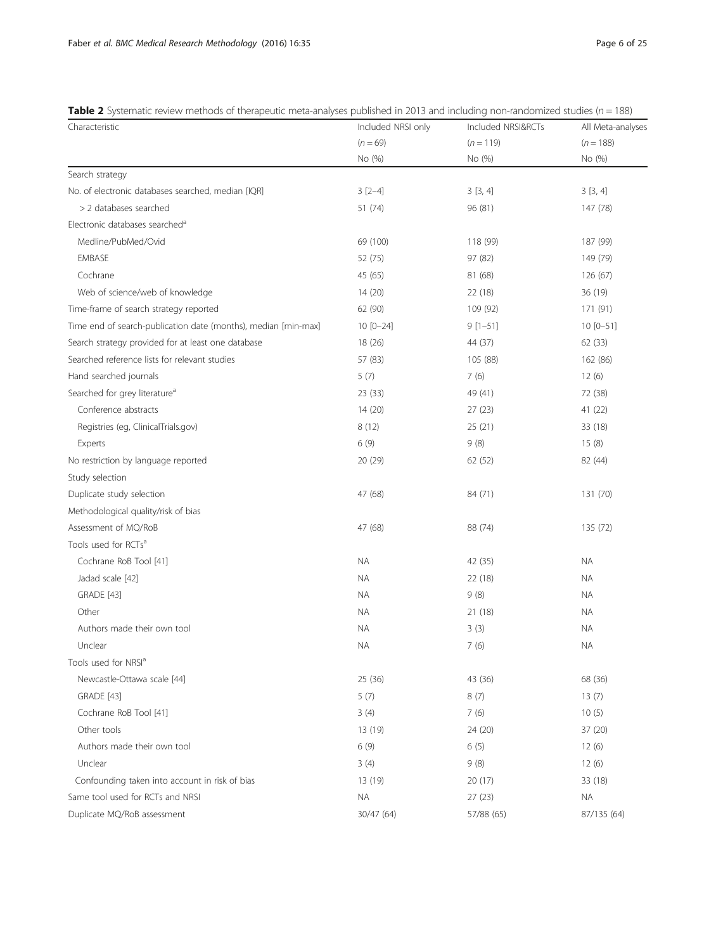<span id="page-5-0"></span>Table 2 Systematic review methods of therapeutic meta-analyses published in 2013 and including non-randomized studies ( $n = 188$ )

| Characteristic                                                 | Included NRSI only | Included NRSI&RCTs | All Meta-analyses |  |
|----------------------------------------------------------------|--------------------|--------------------|-------------------|--|
|                                                                | $(n = 69)$         | $(n = 119)$        | $(n = 188)$       |  |
|                                                                | No (%)             | No (%)             | No (%)            |  |
| Search strategy                                                |                    |                    |                   |  |
| No. of electronic databases searched, median [IQR]             | $3[2-4]$           | 3[3, 4]            | 3[3, 4]           |  |
| > 2 databases searched                                         | 51 (74)            | 96 (81)            | 147 (78)          |  |
| Electronic databases searched <sup>a</sup>                     |                    |                    |                   |  |
| Medline/PubMed/Ovid                                            | 69 (100)           | 118 (99)           | 187 (99)          |  |
| <b>EMBASE</b>                                                  | 52 (75)            | 97 (82)            | 149 (79)          |  |
| Cochrane                                                       | 45 (65)            | 81 (68)            | 126(67)           |  |
| Web of science/web of knowledge                                | 14 (20)            | 22 (18)            | 36 (19)           |  |
| Time-frame of search strategy reported                         | 62 (90)            | 109 (92)           | 171 (91)          |  |
| Time end of search-publication date (months), median [min-max] | $10 [0 - 24]$      | $9[1-51]$          | $10 [0 - 51]$     |  |
| Search strategy provided for at least one database             | 18 (26)            | 44 (37)            | 62 (33)           |  |
| Searched reference lists for relevant studies                  | 57 (83)            | 105 (88)           | 162 (86)          |  |
| Hand searched journals                                         | 5(7)               | 7(6)               | 12(6)             |  |
| Searched for grey literature <sup>a</sup>                      | 23(33)             | 49 (41)            | 72 (38)           |  |
| Conference abstracts                                           | 14(20)             | 27(23)             | 41 (22)           |  |
| Registries (eg, ClinicalTrials.gov)                            | 8(12)              | 25(21)             | 33 (18)           |  |
| Experts                                                        | 6(9)               | 9(8)               | 15(8)             |  |
| No restriction by language reported                            | 20 (29)            | 62 (52)            | 82 (44)           |  |
| Study selection                                                |                    |                    |                   |  |
| Duplicate study selection                                      | 47 (68)            | 84 (71)            | 131 (70)          |  |
| Methodological quality/risk of bias                            |                    |                    |                   |  |
| Assessment of MQ/RoB                                           | 47 (68)            | 88 (74)            | 135 (72)          |  |
| Tools used for RCTs <sup>a</sup>                               |                    |                    |                   |  |
| Cochrane RoB Tool [41]                                         | <b>NA</b>          | 42 (35)            | NA.               |  |
| Jadad scale [42]                                               | ΝA                 | 22 (18)            | ΝA                |  |
| <b>GRADE</b> [43]                                              | ΝA                 | 9(8)               | ΝA                |  |
| Other                                                          | ΝA                 | 21 (18)            | ΝA                |  |
| Authors made their own tool                                    | <b>NA</b>          | 3(3)               | <b>NA</b>         |  |
| Unclear                                                        | ΝA                 | 7(6)               | <b>NA</b>         |  |
| Tools used for NRSI <sup>a</sup>                               |                    |                    |                   |  |
| Newcastle-Ottawa scale [44]                                    | 25(36)             | 43 (36)            | 68 (36)           |  |
| <b>GRADE</b> [43]                                              | 5(7)               | 8(7)               | 13(7)             |  |
| Cochrane RoB Tool [41]                                         | 3(4)               | 7(6)               | 10(5)             |  |
| Other tools                                                    | 13 (19)            | 24 (20)            | 37 (20)           |  |
| Authors made their own tool                                    | 6(9)               | 6(5)               | 12(6)             |  |
| Unclear                                                        | 3(4)               | 9(8)               | 12(6)             |  |
| Confounding taken into account in risk of bias                 | 13 (19)            | 20 (17)            | 33 (18)           |  |
| Same tool used for RCTs and NRSI                               | NA                 | 27 (23)            | ΝA                |  |
| Duplicate MQ/RoB assessment                                    | 30/47 (64)         | 57/88 (65)         | 87/135 (64)       |  |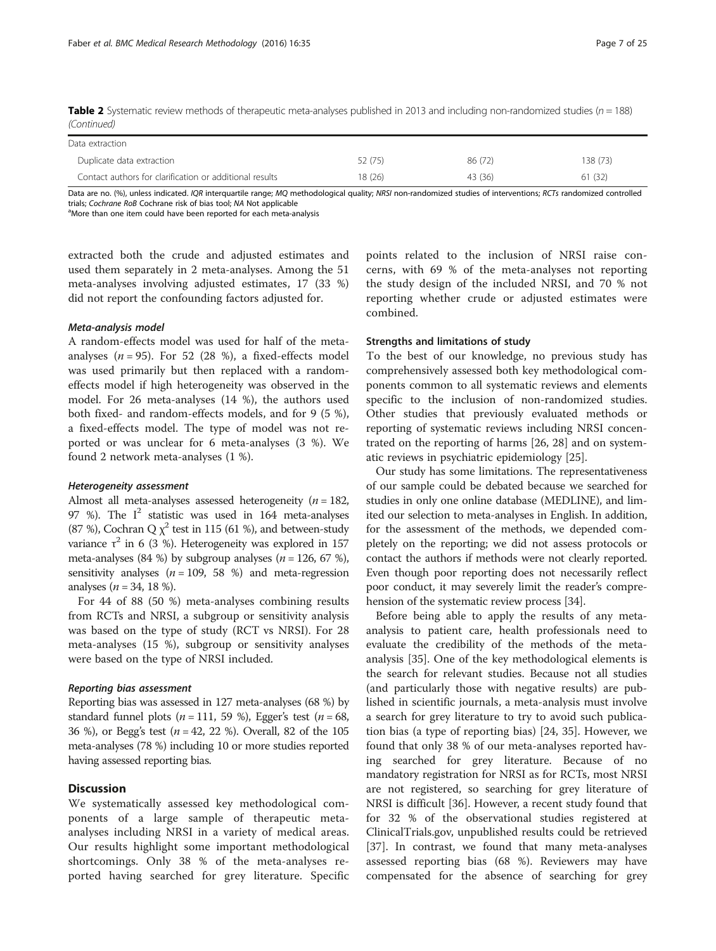| <b>Table 2</b> Systematic review methods of therapeutic meta-analyses published in 2013 and including non-randomized studies ( $n = 188$ ) |  |  |
|--------------------------------------------------------------------------------------------------------------------------------------------|--|--|
| (Continued)                                                                                                                                |  |  |

| Data extraction                                         |         |         |          |
|---------------------------------------------------------|---------|---------|----------|
| Duplicate data extraction                               | 52 (75) | 86 (72) | 138 (73) |
| Contact authors for clarification or additional results | 18(26)  | 43 (36) | 61(32)   |

Data are no. (%), unless indicated. IQR interquartile range; MQ methodological quality; NRSI non-randomized studies of interventions; RCTs randomized controlled trials; *Cochrane RoB* Cochrane risk of bias tool; MA Not applicable<br><sup>a</sup>More than one item could have been reported for each meta-analysis

extracted both the crude and adjusted estimates and used them separately in 2 meta-analyses. Among the 51 meta-analyses involving adjusted estimates, 17 (33 %) did not report the confounding factors adjusted for.

### Meta-analysis model

A random-effects model was used for half of the metaanalyses  $(n = 95)$ . For 52 (28 %), a fixed-effects model was used primarily but then replaced with a randomeffects model if high heterogeneity was observed in the model. For 26 meta-analyses (14 %), the authors used both fixed- and random-effects models, and for 9 (5 %), a fixed-effects model. The type of model was not reported or was unclear for 6 meta-analyses (3 %). We found 2 network meta-analyses (1 %).

#### Heterogeneity assessment

Almost all meta-analyses assessed heterogeneity ( $n = 182$ , 97 %). The  $I^2$  statistic was used in 164 meta-analyses (87 %), Cochran Q  $\chi^2$  test in 115 (61 %), and between-study variance  $\tau^2$  in 6 (3 %). Heterogeneity was explored in 157 meta-analyses (84 %) by subgroup analyses ( $n = 126, 67$  %), sensitivity analyses  $(n = 109, 58 \%)$  and meta-regression analyses ( $n = 34, 18$  %).

For 44 of 88 (50 %) meta-analyses combining results from RCTs and NRSI, a subgroup or sensitivity analysis was based on the type of study (RCT vs NRSI). For 28 meta-analyses (15 %), subgroup or sensitivity analyses were based on the type of NRSI included.

#### Reporting bias assessment

Reporting bias was assessed in 127 meta-analyses (68 %) by standard funnel plots ( $n = 111$ , 59 %), Egger's test ( $n = 68$ , 36 %), or Begg's test ( $n = 42, 22$  %). Overall, 82 of the 105 meta-analyses (78 %) including 10 or more studies reported having assessed reporting bias.

# **Discussion**

We systematically assessed key methodological components of a large sample of therapeutic metaanalyses including NRSI in a variety of medical areas. Our results highlight some important methodological shortcomings. Only 38 % of the meta-analyses reported having searched for grey literature. Specific

points related to the inclusion of NRSI raise concerns, with 69 % of the meta-analyses not reporting the study design of the included NRSI, and 70 % not reporting whether crude or adjusted estimates were combined.

#### Strengths and limitations of study

To the best of our knowledge, no previous study has comprehensively assessed both key methodological components common to all systematic reviews and elements specific to the inclusion of non-randomized studies. Other studies that previously evaluated methods or reporting of systematic reviews including NRSI concentrated on the reporting of harms [[26, 28\]](#page-24-0) and on systematic reviews in psychiatric epidemiology [[25](#page-24-0)].

Our study has some limitations. The representativeness of our sample could be debated because we searched for studies in only one online database (MEDLINE), and limited our selection to meta-analyses in English. In addition, for the assessment of the methods, we depended completely on the reporting; we did not assess protocols or contact the authors if methods were not clearly reported. Even though poor reporting does not necessarily reflect poor conduct, it may severely limit the reader's comprehension of the systematic review process [\[34](#page-24-0)].

Before being able to apply the results of any metaanalysis to patient care, health professionals need to evaluate the credibility of the methods of the metaanalysis [[35](#page-24-0)]. One of the key methodological elements is the search for relevant studies. Because not all studies (and particularly those with negative results) are published in scientific journals, a meta-analysis must involve a search for grey literature to try to avoid such publication bias (a type of reporting bias) [\[24](#page-24-0), [35\]](#page-24-0). However, we found that only 38 % of our meta-analyses reported having searched for grey literature. Because of no mandatory registration for NRSI as for RCTs, most NRSI are not registered, so searching for grey literature of NRSI is difficult [\[36](#page-24-0)]. However, a recent study found that for 32 % of the observational studies registered at ClinicalTrials.gov, unpublished results could be retrieved [[37\]](#page-24-0). In contrast, we found that many meta-analyses assessed reporting bias (68 %). Reviewers may have compensated for the absence of searching for grey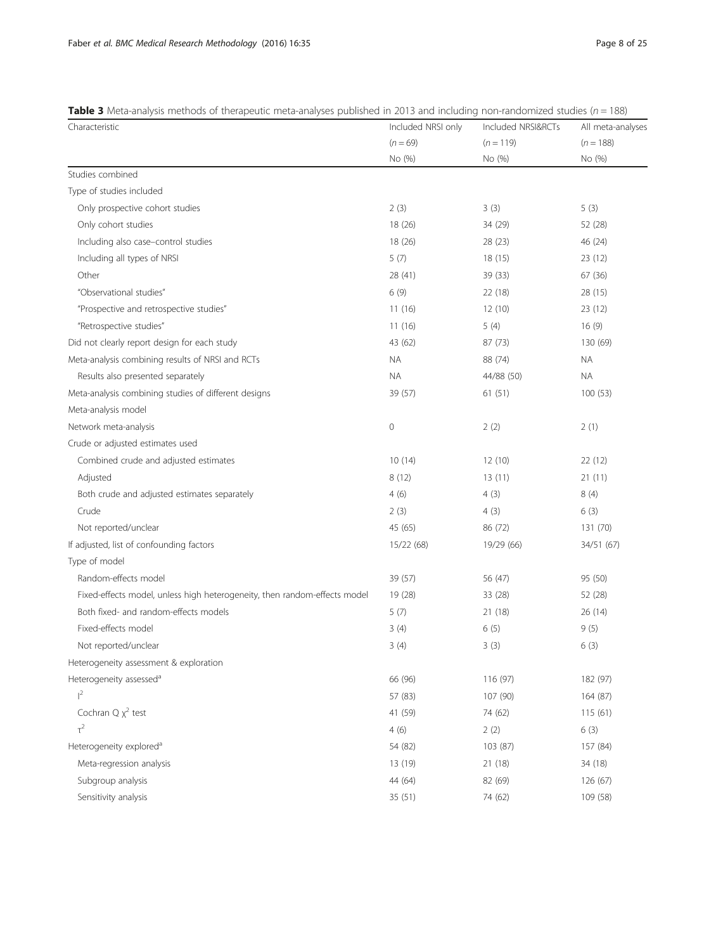<span id="page-7-0"></span>

| <b>Table 3</b> Meta-analysis methods of therapeutic meta-analyses published in 2013 and including non-randomized studies ( $n = 188$ ) |  |
|----------------------------------------------------------------------------------------------------------------------------------------|--|
|----------------------------------------------------------------------------------------------------------------------------------------|--|

| Characteristic                                                            | Included NRSI only | Included NRSI&RCTs | All meta-analyses |  |
|---------------------------------------------------------------------------|--------------------|--------------------|-------------------|--|
|                                                                           | $(n = 69)$         | $(n = 119)$        | $(n = 188)$       |  |
|                                                                           | No (%)             | No (%)             | No (%)            |  |
| Studies combined                                                          |                    |                    |                   |  |
| Type of studies included                                                  |                    |                    |                   |  |
| Only prospective cohort studies                                           | 2(3)               | 3(3)               | 5(3)              |  |
| Only cohort studies                                                       | 18 (26)            | 34 (29)            | 52 (28)           |  |
| Including also case-control studies                                       | 18 (26)            | 28 (23)            | 46 (24)           |  |
| Including all types of NRSI                                               | 5(7)               | 18(15)             | 23(12)            |  |
| Other                                                                     | 28 (41)            | 39 (33)            | 67 (36)           |  |
| "Observational studies"                                                   | 6(9)               | 22 (18)            | 28 (15)           |  |
| "Prospective and retrospective studies"                                   | 11(16)             | 12(10)             | 23(12)            |  |
| "Retrospective studies"                                                   | 11(16)             | 5(4)               | 16(9)             |  |
| Did not clearly report design for each study                              | 43 (62)            | 87(73)             | 130 (69)          |  |
| Meta-analysis combining results of NRSI and RCTs                          | ΝA                 | 88 (74)            | NA.               |  |
| Results also presented separately                                         | <b>NA</b>          | 44/88 (50)         | <b>NA</b>         |  |
| Meta-analysis combining studies of different designs                      | 39 (57)            | 61(51)             | 100(53)           |  |
| Meta-analysis model                                                       |                    |                    |                   |  |
| Network meta-analysis                                                     | $\mathbf 0$        | 2(2)               | 2(1)              |  |
| Crude or adjusted estimates used                                          |                    |                    |                   |  |
| Combined crude and adjusted estimates                                     | 10(14)             | 12(10)             | 22(12)            |  |
| Adjusted                                                                  | 8(12)              | 13(11)             | 21(11)            |  |
| Both crude and adjusted estimates separately                              | 4(6)               | 4(3)               | 8(4)              |  |
| Crude                                                                     | 2(3)               | 4(3)               | 6(3)              |  |
| Not reported/unclear                                                      | 45 (65)            | 86 (72)            | 131 (70)          |  |
| If adjusted, list of confounding factors                                  | 15/22 (68)         | 19/29 (66)         | 34/51 (67)        |  |
| Type of model                                                             |                    |                    |                   |  |
| Random-effects model                                                      | 39 (57)            | 56 (47)            | 95 (50)           |  |
| Fixed-effects model, unless high heterogeneity, then random-effects model | 19 (28)            | 33 (28)            | 52 (28)           |  |
| Both fixed- and random-effects models                                     | 5(7)               | 21 (18)            | 26(14)            |  |
| Fixed-effects model                                                       | 3(4)               | 6(5)               | 9(5)              |  |
| Not reported/unclear                                                      | 3(4)               | 3(3)               | 6(3)              |  |
| Heterogeneity assessment & exploration                                    |                    |                    |                   |  |
| Heterogeneity assessed <sup>a</sup>                                       | 66 (96)            | 116 (97)           | 182 (97)          |  |
| $1^2$                                                                     | 57 (83)            | 107 (90)           | 164 (87)          |  |
| Cochran $Q \chi^2$ test                                                   | 41 (59)            | 74 (62)            | 115 (61)          |  |
| $\tau^2$                                                                  | 4(6)               | 2(2)               | 6(3)              |  |
| Heterogeneity explored <sup>a</sup>                                       | 54 (82)            | 103 (87)           | 157 (84)          |  |
| Meta-regression analysis                                                  | 13 (19)            | 21 (18)            | 34 (18)           |  |
| Subgroup analysis                                                         | 44 (64)            | 82 (69)            | 126 (67)          |  |
| Sensitivity analysis                                                      | 35 (51)            | 74 (62)            | 109 (58)          |  |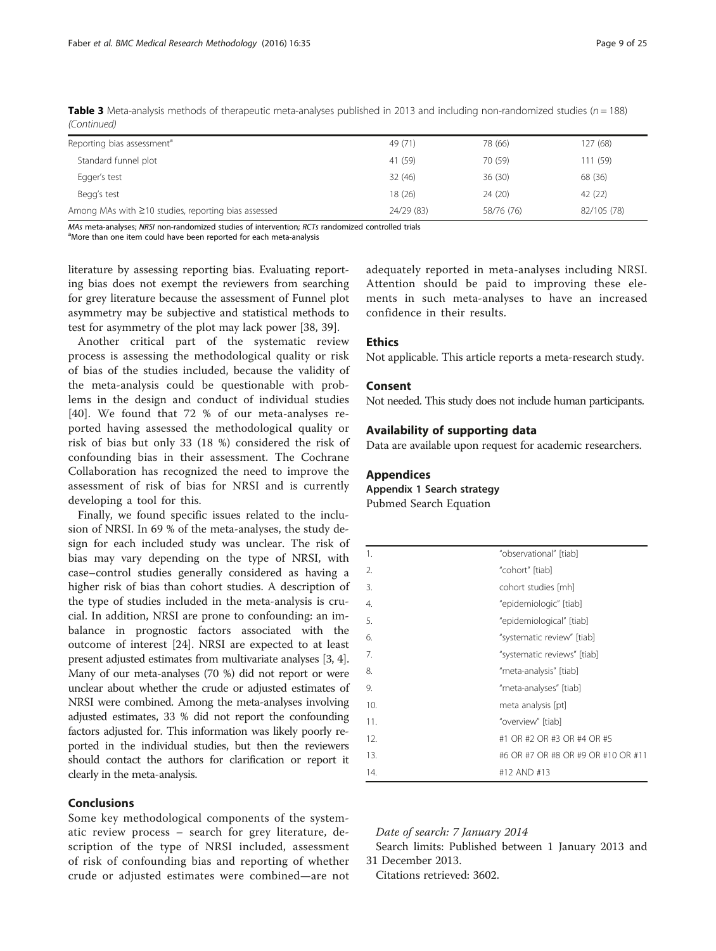<span id="page-8-0"></span>

| Table 3 Meta-analysis methods of therapeutic meta-analyses published in 2013 and including non-randomized studies ( $n = 188$ ) |  |  |  |
|---------------------------------------------------------------------------------------------------------------------------------|--|--|--|
| (Continued)                                                                                                                     |  |  |  |

| Reporting bias assessment <sup>a</sup>              | 49 (71)    | 78 (66)    | 127 (68)    |
|-----------------------------------------------------|------------|------------|-------------|
| Standard funnel plot                                | 41 (59)    | 70 (59)    | 111 (59)    |
| Egger's test                                        | 32(46)     | 36(30)     | 68 (36)     |
| Begg's test                                         | 18 (26)    | 24 (20)    | 42 (22)     |
| Among MAs with ≥10 studies, reporting bias assessed | 24/29 (83) | 58/76 (76) | 82/105 (78) |

MAs meta-analyses: NRSI non-randomized studies of intervention: RCTs randomized controlled trials

<sup>a</sup>More than one item could have been reported for each meta-analysis

literature by assessing reporting bias. Evaluating reporting bias does not exempt the reviewers from searching for grey literature because the assessment of Funnel plot asymmetry may be subjective and statistical methods to test for asymmetry of the plot may lack power [[38](#page-24-0), [39](#page-24-0)].

Another critical part of the systematic review process is assessing the methodological quality or risk of bias of the studies included, because the validity of the meta-analysis could be questionable with problems in the design and conduct of individual studies [[40\]](#page-24-0). We found that 72 % of our meta-analyses reported having assessed the methodological quality or risk of bias but only 33 (18 %) considered the risk of confounding bias in their assessment. The Cochrane Collaboration has recognized the need to improve the assessment of risk of bias for NRSI and is currently developing a tool for this.

Finally, we found specific issues related to the inclusion of NRSI. In 69 % of the meta-analyses, the study design for each included study was unclear. The risk of bias may vary depending on the type of NRSI, with case–control studies generally considered as having a higher risk of bias than cohort studies. A description of the type of studies included in the meta-analysis is crucial. In addition, NRSI are prone to confounding: an imbalance in prognostic factors associated with the outcome of interest [\[24](#page-24-0)]. NRSI are expected to at least present adjusted estimates from multivariate analyses [\[3, 4](#page-23-0)]. Many of our meta-analyses (70 %) did not report or were unclear about whether the crude or adjusted estimates of NRSI were combined. Among the meta-analyses involving adjusted estimates, 33 % did not report the confounding factors adjusted for. This information was likely poorly reported in the individual studies, but then the reviewers should contact the authors for clarification or report it clearly in the meta-analysis.

#### Conclusions

Some key methodological components of the systematic review process – search for grey literature, description of the type of NRSI included, assessment of risk of confounding bias and reporting of whether crude or adjusted estimates were combined—are not adequately reported in meta-analyses including NRSI. Attention should be paid to improving these elements in such meta-analyses to have an increased confidence in their results.

# Ethics

Not applicable. This article reports a meta-research study.

## Consent

Not needed. This study does not include human participants.

# Availability of supporting data

Data are available upon request for academic researchers.

#### Appendices

Appendix 1 Search strategy

Pubmed Search Equation

| 1.  | "observational" [tiab]             |
|-----|------------------------------------|
| 2.  | "cohort" [tiab]                    |
| 3.  | cohort studies [mh]                |
| 4.  | "epidemiologic" [tiab]             |
| 5.  | "epidemiological" [tiab]           |
| 6.  | "systematic review" [tiab]         |
| 7.  | "systematic reviews" [tiab]        |
| 8.  | "meta-analysis" [tiab]             |
| 9.  | "meta-analyses" [tiab]             |
| 10. | meta analysis [pt]                 |
| 11. | "overview" [tiab]                  |
| 12. | #1 OR #2 OR #3 OR #4 OR #5         |
| 13. | #6 OR #7 OR #8 OR #9 OR #10 OR #11 |
| 14. | #12 AND #13                        |

### Date of search: 7 January 2014

Search limits: Published between 1 January 2013 and 31 December 2013.

Citations retrieved: 3602.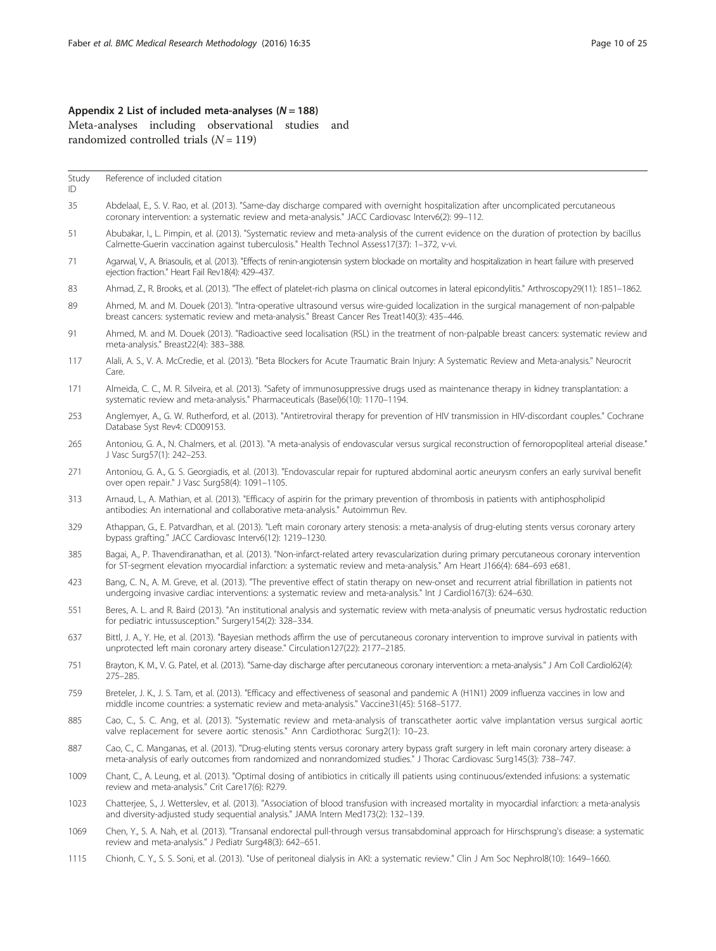# <span id="page-9-0"></span>Appendix 2 List of included meta-analyses ( $N = 188$ ) Meta-analyses including observational studies and randomized controlled trials  $(N = 119)$

Study Reference of included citation

ID

- 35 Abdelaal, E., S. V. Rao, et al. (2013). "Same-day discharge compared with overnight hospitalization after uncomplicated percutaneous coronary intervention: a systematic review and meta-analysis." JACC Cardiovasc Interv6(2): 99–112.
- 51 Abubakar, I., L. Pimpin, et al. (2013). "Systematic review and meta-analysis of the current evidence on the duration of protection by bacillus Calmette-Guerin vaccination against tuberculosis." Health Technol Assess17(37): 1–372, v-vi.
- 71 Agarwal, V., A. Briasoulis, et al. (2013). "Effects of renin-angiotensin system blockade on mortality and hospitalization in heart failure with preserved ejection fraction." Heart Fail Rev18(4): 429–437.
- 83 Ahmad, Z., R. Brooks, et al. (2013). "The effect of platelet-rich plasma on clinical outcomes in lateral epicondylitis." Arthroscopy29(11): 1851–1862.
- 89 Ahmed, M. and M. Douek (2013). "Intra-operative ultrasound versus wire-guided localization in the surgical management of non-palpable breast cancers: systematic review and meta-analysis." Breast Cancer Res Treat140(3): 435–446.
- 91 Ahmed, M. and M. Douek (2013). "Radioactive seed localisation (RSL) in the treatment of non-palpable breast cancers: systematic review and meta-analysis." Breast22(4): 383–388.
- 117 Alali, A. S., V. A. McCredie, et al. (2013). "Beta Blockers for Acute Traumatic Brain Injury: A Systematic Review and Meta-analysis." Neurocrit Care.
- 171 Almeida, C. C., M. R. Silveira, et al. (2013). "Safety of immunosuppressive drugs used as maintenance therapy in kidney transplantation: a systematic review and meta-analysis." Pharmaceuticals (Basel)6(10): 1170–1194.
- 253 Anglemyer, A., G. W. Rutherford, et al. (2013). "Antiretroviral therapy for prevention of HIV transmission in HIV-discordant couples." Cochrane Database Syst Rev4: CD009153.
- 265 Antoniou, G. A., N. Chalmers, et al. (2013). "A meta-analysis of endovascular versus surgical reconstruction of femoropopliteal arterial disease." J Vasc Surg57(1): 242–253.
- 271 Antoniou, G. A., G. S. Georgiadis, et al. (2013). "Endovascular repair for ruptured abdominal aortic aneurysm confers an early survival benefit over open repair." J Vasc Surg58(4): 1091–1105.
- 313 Arnaud, L., A. Mathian, et al. (2013). "Efficacy of aspirin for the primary prevention of thrombosis in patients with antiphospholipid antibodies: An international and collaborative meta-analysis." Autoimmun Rev.
- 329 Athappan, G., E. Patvardhan, et al. (2013). "Left main coronary artery stenosis: a meta-analysis of drug-eluting stents versus coronary artery bypass grafting." JACC Cardiovasc Interv6(12): 1219–1230.
- 385 Bagai, A., P. Thavendiranathan, et al. (2013). "Non-infarct-related artery revascularization during primary percutaneous coronary intervention for ST-segment elevation myocardial infarction: a systematic review and meta-analysis." Am Heart J166(4): 684–693 e681.
- 423 Bang, C. N., A. M. Greve, et al. (2013). "The preventive effect of statin therapy on new-onset and recurrent atrial fibrillation in patients not undergoing invasive cardiac interventions: a systematic review and meta-analysis." Int J Cardiol167(3): 624–630.
- 551 Beres, A. L. and R. Baird (2013). "An institutional analysis and systematic review with meta-analysis of pneumatic versus hydrostatic reduction for pediatric intussusception." Surgery154(2): 328–334.
- 637 Bittl, J. A., Y. He, et al. (2013). "Bayesian methods affirm the use of percutaneous coronary intervention to improve survival in patients with unprotected left main coronary artery disease." Circulation127(22): 2177–2185.
- 751 Brayton, K. M., V. G. Patel, et al. (2013). "Same-day discharge after percutaneous coronary intervention: a meta-analysis." J Am Coll Cardiol62(4): 275–285.
- 759 Breteler, J. K., J. S. Tam, et al. (2013). "Efficacy and effectiveness of seasonal and pandemic A (H1N1) 2009 influenza vaccines in low and middle income countries: a systematic review and meta-analysis." Vaccine31(45): 5168–5177.
- 885 Cao, C., S. C. Ang, et al. (2013). "Systematic review and meta-analysis of transcatheter aortic valve implantation versus surgical aortic valve replacement for severe aortic stenosis." Ann Cardiothorac Surg2(1): 10–23.
- 887 Cao, C., C. Manganas, et al. (2013). "Drug-eluting stents versus coronary artery bypass graft surgery in left main coronary artery disease: a meta-analysis of early outcomes from randomized and nonrandomized studies." J Thorac Cardiovasc Surg145(3): 738–747.
- 1009 Chant, C., A. Leung, et al. (2013). "Optimal dosing of antibiotics in critically ill patients using continuous/extended infusions: a systematic review and meta-analysis." Crit Care17(6): R279.
- 1023 Chatterjee, S., J. Wetterslev, et al. (2013). "Association of blood transfusion with increased mortality in myocardial infarction: a meta-analysis and diversity-adjusted study sequential analysis." JAMA Intern Med173(2): 132–139.
- 1069 Chen, Y., S. A. Nah, et al. (2013). "Transanal endorectal pull-through versus transabdominal approach for Hirschsprung's disease: a systematic review and meta-analysis." J Pediatr Surg48(3): 642–651.
- 1115 Chionh, C. Y., S. S. Soni, et al. (2013). "Use of peritoneal dialysis in AKI: a systematic review." Clin J Am Soc Nephrol8(10): 1649–1660.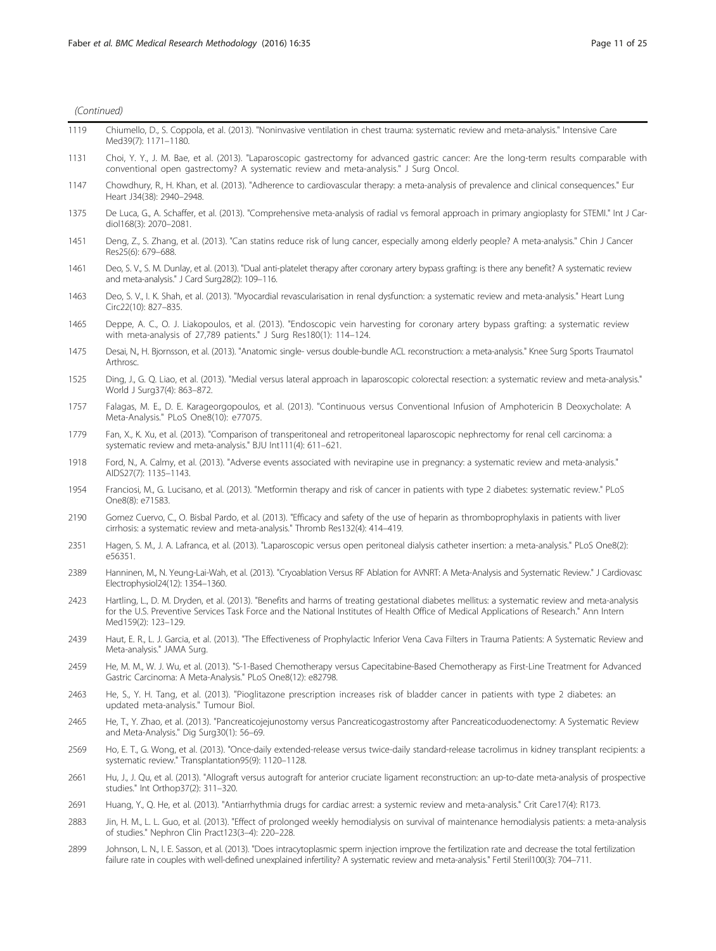| 1119 | Chiumello, D., S. Coppola, et al. (2013). "Noninvasive ventilation in chest trauma: systematic review and meta-analysis." Intensive Care<br>Med39(7): 1171-1180.                                                                                                                                                    |
|------|---------------------------------------------------------------------------------------------------------------------------------------------------------------------------------------------------------------------------------------------------------------------------------------------------------------------|
| 1131 | Choi, Y. Y., J. M. Bae, et al. (2013). "Laparoscopic gastrectomy for advanced gastric cancer: Are the long-term results comparable with<br>conventional open qastrectomy? A systematic review and meta-analysis." J Surg Oncol.                                                                                     |
| 1147 | Chowdhury, R., H. Khan, et al. (2013). "Adherence to cardiovascular therapy: a meta-analysis of prevalence and clinical consequences." Eur<br>Heart J34(38): 2940-2948.                                                                                                                                             |
| 1375 | De Luca, G., A. Schaffer, et al. (2013). "Comprehensive meta-analysis of radial vs femoral approach in primary angioplasty for STEMI." Int J Car-<br>diol168(3): 2070-2081.                                                                                                                                         |
| 1451 | Deng, Z., S. Zhang, et al. (2013). "Can statins reduce risk of lung cancer, especially among elderly people? A meta-analysis." Chin J Cancer<br>Res25(6): 679-688.                                                                                                                                                  |
| 1461 | Deo, S. V., S. M. Dunlay, et al. (2013). "Dual anti-platelet therapy after coronary artery bypass grafting: is there any benefit? A systematic review<br>and meta-analysis." J Card Surg28(2): 109-116.                                                                                                             |
| 1463 | Deo, S. V., I. K. Shah, et al. (2013). "Myocardial revascularisation in renal dysfunction: a systematic review and meta-analysis." Heart Lung<br>Circ22(10): 827-835.                                                                                                                                               |
| 1465 | Deppe, A. C., O. J. Liakopoulos, et al. (2013). "Endoscopic vein harvesting for coronary artery bypass grafting: a systematic review<br>with meta-analysis of 27,789 patients." J Surg Res180(1): 114-124.                                                                                                          |
| 1475 | Desai, N., H. Biornsson, et al. (2013). "Anatomic single-versus double-bundle ACL reconstruction: a meta-analysis." Knee Surg Sports Traumatol<br>Arthrosc.                                                                                                                                                         |
| 1525 | Ding, J., G. Q. Liao, et al. (2013). "Medial versus lateral approach in laparoscopic colorectal resection: a systematic review and meta-analysis."<br>World J Surg37(4): 863-872.                                                                                                                                   |
| 1757 | Falagas, M. E., D. E. Karageorgopoulos, et al. (2013). "Continuous versus Conventional Infusion of Amphotericin B Deoxycholate: A<br>Meta-Analysis." PLoS One8(10): e77075.                                                                                                                                         |
| 1779 | Fan, X., K. Xu, et al. (2013). "Comparison of transperitoneal and retroperitoneal laparoscopic nephrectomy for renal cell carcinoma: a<br>systematic review and meta-analysis." BJU Int111(4): 611-621.                                                                                                             |
| 1918 | Ford, N., A. Calmy, et al. (2013). "Adverse events associated with nevirapine use in pregnancy: a systematic review and meta-analysis."<br>AIDS27(7): 1135-1143.                                                                                                                                                    |
| 1954 | Franciosi, M., G. Lucisano, et al. (2013). "Metformin therapy and risk of cancer in patients with type 2 diabetes: systematic review." PLoS<br>One8(8): e71583.                                                                                                                                                     |
| 2190 | Gomez Cuervo, C., O. Bisbal Pardo, et al. (2013). "Efficacy and safety of the use of heparin as thromboprophylaxis in patients with liver<br>cirrhosis: a systematic review and meta-analysis." Thromb Res132(4): 414-419.                                                                                          |
| 2351 | Hagen, S. M., J. A. Lafranca, et al. (2013). "Laparoscopic versus open peritoneal dialysis catheter insertion: a meta-analysis." PLoS One8(2):<br>e56351.                                                                                                                                                           |
| 2389 | Hanninen, M., N. Yeung-Lai-Wah, et al. (2013). "Cryoablation Versus RF Ablation for AVNRT: A Meta-Analysis and Systematic Review." J Cardiovasc<br>Electrophysiol24(12): 1354-1360.                                                                                                                                 |
| 2423 | Hartling, L., D. M. Dryden, et al. (2013). "Benefits and harms of treating gestational diabetes mellitus: a systematic review and meta-analysis<br>for the U.S. Preventive Services Task Force and the National Institutes of Health Office of Medical Applications of Research." Ann Intern<br>Med159(2): 123-129. |
| 2439 | Haut, E. R., L. J. Garcia, et al. (2013). "The Effectiveness of Prophylactic Inferior Vena Cava Filters in Trauma Patients: A Systematic Review and<br>Meta-analysis." JAMA Surg.                                                                                                                                   |
| 2459 | He, M. M., W. J. Wu, et al. (2013). "S-1-Based Chemotherapy versus Capecitabine-Based Chemotherapy as First-Line Treatment for Advanced<br>Gastric Carcinoma: A Meta-Analysis." PLoS One8(12): e82798.                                                                                                              |
| 2463 | He, S., Y. H. Tang, et al. (2013). "Pioglitazone prescription increases risk of bladder cancer in patients with type 2 diabetes: an<br>updated meta-analysis." Tumour Biol.                                                                                                                                         |
| 2465 | He, T., Y. Zhao, et al. (2013). "Pancreaticojejunostomy versus Pancreaticogastrostomy after Pancreaticoduodenectomy: A Systematic Review<br>and Meta-Analysis." Dig Surg30(1): 56-69.                                                                                                                               |
| 2569 | Ho, E. T., G. Wong, et al. (2013). "Once-daily extended-release versus twice-daily standard-release tacrolimus in kidney transplant recipients: a<br>systematic review." Transplantation95(9): 1120-1128.                                                                                                           |
| 2661 | Hu, J., J. Qu, et al. (2013). "Allograft versus autograft for anterior cruciate ligament reconstruction: an up-to-date meta-analysis of prospective<br>studies." Int Orthop37(2): 311-320.                                                                                                                          |
| 2691 | Huang, Y., Q. He, et al. (2013). "Antiarrhythmia drugs for cardiac arrest: a systemic review and meta-analysis." Crit Care17(4): R173.                                                                                                                                                                              |
| 2883 | Jin, H. M., L. L. Guo, et al. (2013). "Effect of prolonged weekly hemodialysis on survival of maintenance hemodialysis patients: a meta-analysis<br>of studies." Nephron Clin Pract123(3-4): 220-228.                                                                                                               |

2899 Johnson, L. N., I. E. Sasson, et al. (2013). "Does intracytoplasmic sperm injection improve the fertilization rate and decrease the total fertilization failure rate in couples with well-defined unexplained infertility? A systematic review and meta-analysis." Fertil Steril100(3): 704–711.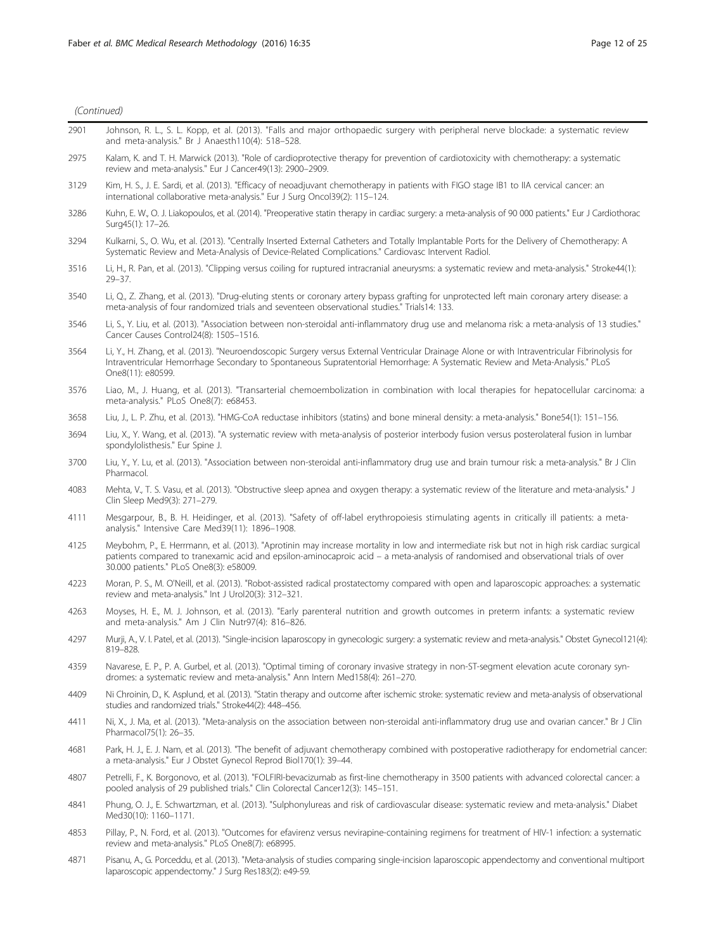| (Continued) |
|-------------|
|             |

| 2901 | Johnson, R. L., S. L. Kopp, et al. (2013). "Falls and major orthopaedic surgery with peripheral nerve blockade: a systematic review<br>and meta-analysis." Br J Anaesth110(4): 518-528.                                                                                                                                         |
|------|---------------------------------------------------------------------------------------------------------------------------------------------------------------------------------------------------------------------------------------------------------------------------------------------------------------------------------|
| 2975 | Kalam, K. and T. H. Marwick (2013). "Role of cardioprotective therapy for prevention of cardiotoxicity with chemotherapy: a systematic<br>review and meta-analysis." Eur J Cancer49(13): 2900-2909.                                                                                                                             |
| 3129 | Kim, H. S., J. E. Sardi, et al. (2013). "Efficacy of neoadjuvant chemotherapy in patients with FIGO stage IB1 to IIA cervical cancer: an<br>international collaborative meta-analysis." Eur J Surg Oncol39(2): 115-124.                                                                                                         |
| 3286 | Kuhn, E. W., O. J. Liakopoulos, et al. (2014). "Preoperative statin therapy in cardiac surgery: a meta-analysis of 90 000 patients." Eur J Cardiothorac<br>Surg45(1): 17-26.                                                                                                                                                    |
| 3294 | Kulkarni, S., O. Wu, et al. (2013). "Centrally Inserted External Catheters and Totally Implantable Ports for the Delivery of Chemotherapy: A<br>Systematic Review and Meta-Analysis of Device-Related Complications." Cardiovasc Intervent Radiol.                                                                              |
| 3516 | Li, H., R. Pan, et al. (2013). "Clipping versus coiling for ruptured intracranial aneurysms: a systematic review and meta-analysis." Stroke44(1):<br>$29 - 37.$                                                                                                                                                                 |
| 3540 | Li, Q., Z. Zhang, et al. (2013). "Drug-eluting stents or coronary artery bypass grafting for unprotected left main coronary artery disease: a<br>meta-analysis of four randomized trials and seventeen observational studies." Trials14: 133.                                                                                   |
| 3546 | Li, S., Y. Liu, et al. (2013). "Association between non-steroidal anti-inflammatory drug use and melanoma risk: a meta-analysis of 13 studies."<br>Cancer Causes Control24(8): 1505-1516.                                                                                                                                       |
| 3564 | Li, Y., H. Zhang, et al. (2013). "Neuroendoscopic Surgery versus External Ventricular Drainage Alone or with Intraventricular Fibrinolysis for<br>Intraventricular Hemorrhage Secondary to Spontaneous Supratentorial Hemorrhage: A Systematic Review and Meta-Analysis." PLoS<br>One8(11): e80599.                             |
| 3576 | Liao, M., J. Huang, et al. (2013). "Transarterial chemoembolization in combination with local therapies for hepatocellular carcinoma: a<br>meta-analysis." PLoS One8(7): e68453.                                                                                                                                                |
| 3658 | Liu, J., L. P. Zhu, et al. (2013). "HMG-CoA reductase inhibitors (statins) and bone mineral density: a meta-analysis." Bone54(1): 151-156.                                                                                                                                                                                      |
| 3694 | Liu, X., Y. Wang, et al. (2013). "A systematic review with meta-analysis of posterior interbody fusion versus posterolateral fusion in lumbar<br>spondylolisthesis." Eur Spine J.                                                                                                                                               |
| 3700 | Liu, Y., Y. Lu, et al. (2013). "Association between non-steroidal anti-inflammatory drug use and brain tumour risk: a meta-analysis." Br J Clin<br>Pharmacol.                                                                                                                                                                   |
| 4083 | Mehta, V., T. S. Vasu, et al. (2013). "Obstructive sleep apnea and oxygen therapy: a systematic review of the literature and meta-analysis." J<br>Clin Sleep Med9(3): 271-279.                                                                                                                                                  |
| 4111 | Mesgarpour, B., B. H. Heidinger, et al. (2013). "Safety of off-label erythropoiesis stimulating agents in critically ill patients: a meta-<br>analysis." Intensive Care Med39(11): 1896-1908.                                                                                                                                   |
| 4125 | Meybohm, P., E. Herrmann, et al. (2013). "Aprotinin may increase mortality in low and intermediate risk but not in high risk cardiac surgical<br>patients compared to tranexamic acid and epsilon-aminocaproic acid – a meta-analysis of randomised and observational trials of over<br>30.000 patients." PLoS One8(3): e58009. |
| 4223 | Moran, P. S., M. O'Neill, et al. (2013). "Robot-assisted radical prostatectomy compared with open and laparoscopic approaches: a systematic<br>review and meta-analysis." Int J Urol20(3): 312-321.                                                                                                                             |
| 4263 | Moyses, H. E., M. J. Johnson, et al. (2013). "Early parenteral nutrition and growth outcomes in preterm infants: a systematic review<br>and meta-analysis." Am J Clin Nutr97(4): 816-826.                                                                                                                                       |
| 4297 | Murji, A., V. I. Patel, et al. (2013). "Single-incision laparoscopy in gynecologic surgery: a systematic review and meta-analysis." Obstet Gynecol121(4):<br>819-828.                                                                                                                                                           |
| 4359 | Navarese, E. P., P. A. Gurbel, et al. (2013). "Optimal timing of coronary invasive strategy in non-ST-segment elevation acute coronary syn-<br>dromes: a systematic review and meta-analysis." Ann Intern Med158(4): 261-270.                                                                                                   |
| 4409 | Ni Chroinin, D., K. Asplund, et al. (2013). "Statin therapy and outcome after ischemic stroke: systematic review and meta-analysis of observational<br>studies and randomized trials." Stroke44(2): 448-456.                                                                                                                    |
| 4411 | Ni, X., J. Ma, et al. (2013). "Meta-analysis on the association between non-steroidal anti-inflammatory drug use and ovarian cancer." Br J Clin<br>Pharmacol75(1): 26-35.                                                                                                                                                       |
| 4681 | Park, H. J., E. J. Nam, et al. (2013). "The benefit of adjuvant chemotherapy combined with postoperative radiotherapy for endometrial cancer:<br>a meta-analysis." Eur J Obstet Gynecol Reprod Biol170(1): 39-44.                                                                                                               |
| 4807 | Petrelli, F., K. Borgonovo, et al. (2013). "FOLFIRI-bevacizumab as first-line chemotherapy in 3500 patients with advanced colorectal cancer: a<br>pooled analysis of 29 published trials." Clin Colorectal Cancer12(3): 145-151.                                                                                                |
| 4841 | Phung, O. J., E. Schwartzman, et al. (2013). "Sulphonylureas and risk of cardiovascular disease: systematic review and meta-analysis." Diabet<br>Med30(10): 1160-1171.                                                                                                                                                          |
| 4853 | Pillay, P., N. Ford, et al. (2013). "Outcomes for efavirenz versus nevirapine-containing regimens for treatment of HIV-1 infection: a systematic<br>review and meta-analysis." PLoS One8(7): e68995.                                                                                                                            |

4871 Pisanu, A., G. Porceddu, et al. (2013). "Meta-analysis of studies comparing single-incision laparoscopic appendectomy and conventional multiport laparoscopic appendectomy." J Surg Res183(2): e49-59.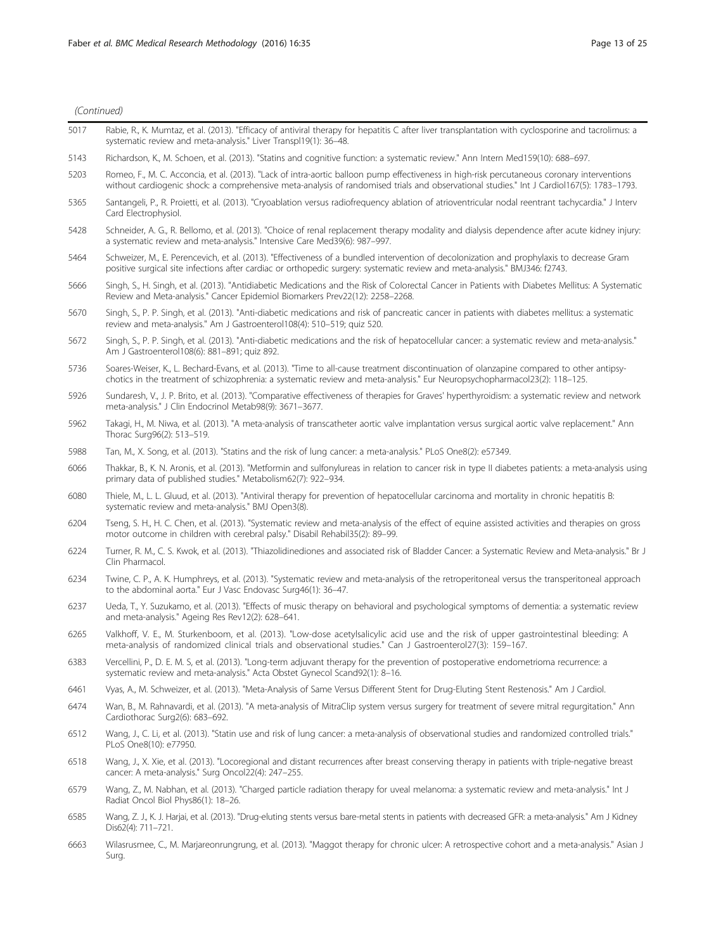Surg.

| 5017 | Rabie, R., K. Mumtaz, et al. (2013). "Efficacy of antiviral therapy for hepatitis C after liver transplantation with cyclosporine and tacrolimus: a<br>systematic review and meta-analysis." Liver Transpl19(1): 36-48.                                                                  |
|------|------------------------------------------------------------------------------------------------------------------------------------------------------------------------------------------------------------------------------------------------------------------------------------------|
| 5143 | Richardson, K., M. Schoen, et al. (2013). "Statins and cognitive function: a systematic review." Ann Intern Med159(10): 688-697.                                                                                                                                                         |
| 5203 | Romeo, F., M. C. Acconcia, et al. (2013). "Lack of intra-aortic balloon pump effectiveness in high-risk percutaneous coronary interventions<br>without cardiogenic shock: a comprehensive meta-analysis of randomised trials and observational studies." Int J Cardiol167(5): 1783-1793. |
| 5365 | Santangeli, P., R. Proietti, et al. (2013). "Cryoablation versus radiofrequency ablation of atrioventricular nodal reentrant tachycardia." J Interv<br>Card Electrophysiol.                                                                                                              |
| 5428 | Schneider, A. G., R. Bellomo, et al. (2013). "Choice of renal replacement therapy modality and dialysis dependence after acute kidney injury:<br>a systematic review and meta-analysis." Intensive Care Med39(6): 987-997.                                                               |
| 5464 | Schweizer, M., E. Perencevich, et al. (2013). "Effectiveness of a bundled intervention of decolonization and prophylaxis to decrease Gram<br>positive surgical site infections after cardiac or orthopedic surgery: systematic review and meta-analysis." BMJ346: f2743.                 |
| 5666 | Singh, S., H. Singh, et al. (2013). "Antidiabetic Medications and the Risk of Colorectal Cancer in Patients with Diabetes Mellitus: A Systematic<br>Review and Meta-analysis." Cancer Epidemiol Biomarkers Prev22(12): 2258-2268.                                                        |
| 5670 | Singh, S., P. P. Singh, et al. (2013). "Anti-diabetic medications and risk of pancreatic cancer in patients with diabetes mellitus: a systematic<br>review and meta-analysis." Am J Gastroenterol108(4): 510-519; quiz 520.                                                              |
| 5672 | Singh, S., P. P. Singh, et al. (2013). "Anti-diabetic medications and the risk of hepatocellular cancer: a systematic review and meta-analysis."<br>Am J Gastroenterol108(6): 881-891; quiz 892.                                                                                         |
| 5736 | Soares-Weiser, K., L. Bechard-Evans, et al. (2013). "Time to all-cause treatment discontinuation of olanzapine compared to other antipsy-<br>chotics in the treatment of schizophrenia: a systematic review and meta-analysis." Eur Neuropsychopharmacol23(2): 118-125.                  |
| 5926 | Sundaresh, V., J. P. Brito, et al. (2013). "Comparative effectiveness of therapies for Graves' hyperthyroidism: a systematic review and network<br>meta-analysis." J Clin Endocrinol Metab98(9): 3671-3677.                                                                              |
| 5962 | Takagi, H., M. Niwa, et al. (2013). "A meta-analysis of transcatheter aortic valve implantation versus surgical aortic valve replacement." Ann<br>Thorac Surg96(2): 513-519.                                                                                                             |
| 5988 | Tan, M., X. Song, et al. (2013). "Statins and the risk of lung cancer: a meta-analysis." PLoS One8(2): e57349.                                                                                                                                                                           |
| 6066 | Thakkar, B., K. N. Aronis, et al. (2013). "Metformin and sulfonylureas in relation to cancer risk in type II diabetes patients: a meta-analysis using<br>primary data of published studies." Metabolism62(7): 922-934.                                                                   |
| 6080 | Thiele, M., L. L. Gluud, et al. (2013). "Antiviral therapy for prevention of hepatocellular carcinoma and mortality in chronic hepatitis B:<br>systematic review and meta-analysis." BMJ Open3(8).                                                                                       |
| 6204 | Tseng, S. H., H. C. Chen, et al. (2013). "Systematic review and meta-analysis of the effect of equine assisted activities and therapies on gross<br>motor outcome in children with cerebral palsy." Disabil Rehabil35(2): 89-99.                                                         |
| 6224 | Turner, R. M., C. S. Kwok, et al. (2013). "Thiazolidinediones and associated risk of Bladder Cancer: a Systematic Review and Meta-analysis." Br J<br>Clin Pharmacol.                                                                                                                     |
| 6234 | Twine, C. P., A. K. Humphreys, et al. (2013). "Systematic review and meta-analysis of the retroperitoneal versus the transperitoneal approach<br>to the abdominal aorta." Eur J Vasc Endovasc Surg46(1): 36-47.                                                                          |
| 6237 | Ueda, T., Y. Suzukamo, et al. (2013). "Effects of music therapy on behavioral and psychological symptoms of dementia: a systematic review<br>and meta-analysis." Ageing Res Rev12(2): 628-641.                                                                                           |
| 6265 | Valkhoff, V. E., M. Sturkenboom, et al. (2013). "Low-dose acetylsalicylic acid use and the risk of upper gastrointestinal bleeding: A<br>meta-analysis of randomized clinical trials and observational studies." Can J Gastroenterol27(3): 159-167.                                      |
| 6383 | Vercellini, P., D. E. M. S, et al. (2013). "Long-term adjuvant therapy for the prevention of postoperative endometrioma recurrence: a<br>systematic review and meta-analysis." Acta Obstet Gynecol Scand92(1): 8-16.                                                                     |
| 6461 | Vyas, A., M. Schweizer, et al. (2013). "Meta-Analysis of Same Versus Different Stent for Drug-Eluting Stent Restenosis." Am J Cardiol.                                                                                                                                                   |
| 6474 | Wan, B., M. Rahnavardi, et al. (2013). "A meta-analysis of MitraClip system versus surgery for treatment of severe mitral requrgitation." Ann<br>Cardiothorac Surg2(6): 683-692.                                                                                                         |
| 6512 | Wang, J., C. Li, et al. (2013). "Statin use and risk of lung cancer: a meta-analysis of observational studies and randomized controlled trials."<br>PLoS One8(10): e77950.                                                                                                               |
| 6518 | Wang, J., X. Xie, et al. (2013). "Locoregional and distant recurrences after breast conserving therapy in patients with triple-negative breast<br>cancer: A meta-analysis." Surg Oncol22(4): 247-255.                                                                                    |
| 6579 | Wang, Z., M. Nabhan, et al. (2013). "Charged particle radiation therapy for uveal melanoma: a systematic review and meta-analysis." Int J<br>Radiat Oncol Biol Phys86(1): 18-26.                                                                                                         |
| 6585 | Wang, Z. J., K. J. Harjai, et al. (2013). "Drug-eluting stents versus bare-metal stents in patients with decreased GFR: a meta-analysis." Am J Kidney<br>Dis62(4): 711-721.                                                                                                              |
| 6663 | Wilasrusmee, C., M. Marjareonrungrung, et al. (2013). "Maggot therapy for chronic ulcer: A retrospective cohort and a meta-analysis." Asian J                                                                                                                                            |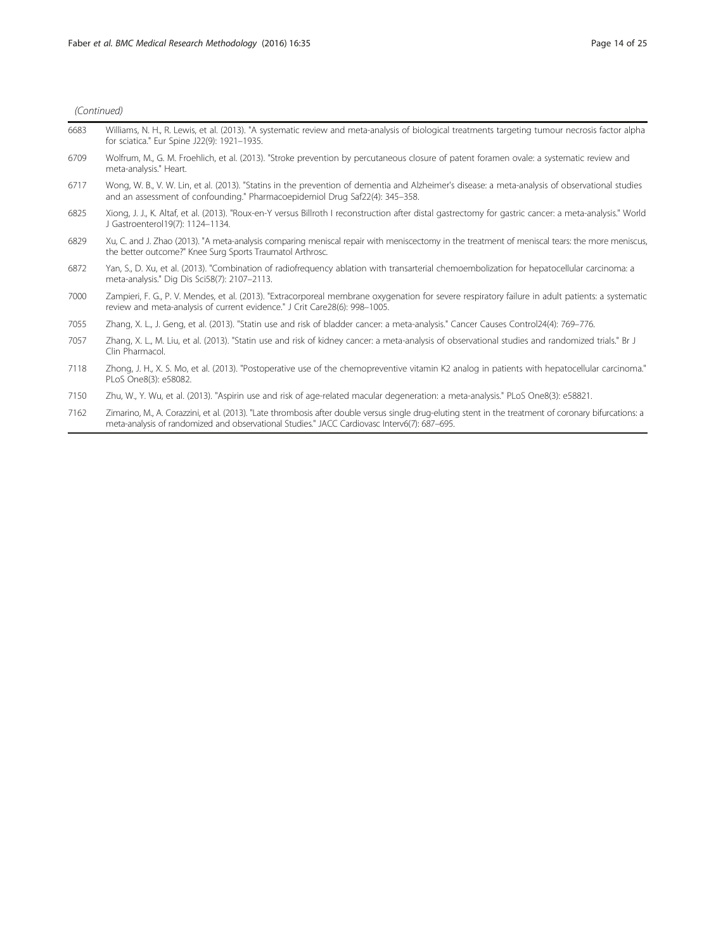| 6683 | Williams, N. H., R. Lewis, et al. (2013). "A systematic review and meta-analysis of biological treatments targeting tumour necrosis factor alpha<br>for sciatica." Eur Spine J22(9): 1921-1935.                                                        |
|------|--------------------------------------------------------------------------------------------------------------------------------------------------------------------------------------------------------------------------------------------------------|
| 6709 | Wolfrum, M., G. M. Froehlich, et al. (2013). "Stroke prevention by percutaneous closure of patent foramen ovale: a systematic review and<br>meta-analysis." Heart.                                                                                     |
| 6717 | Wong, W. B., V. W. Lin, et al. (2013). "Statins in the prevention of dementia and Alzheimer's disease: a meta-analysis of observational studies<br>and an assessment of confounding." Pharmacoepidemiol Drug Saf22(4): 345-358.                        |
| 6825 | Xiong, J. J., K. Altaf, et al. (2013). "Roux-en-Y versus Billroth I reconstruction after distal gastrectomy for gastric cancer: a meta-analysis." World<br>J Gastroenterol19(7): 1124-1134.                                                            |
| 6829 | Xu, C. and J. Zhao (2013). "A meta-analysis comparing meniscal repair with meniscectomy in the treatment of meniscal tears: the more meniscus,<br>the better outcome?" Knee Surg Sports Traumatol Arthrosc.                                            |
| 6872 | Yan, S., D. Xu, et al. (2013). "Combination of radiofrequency ablation with transarterial chemoembolization for hepatocellular carcinoma: a<br>meta-analysis." Dig Dis Sci58(7): 2107-2113.                                                            |
| 7000 | Zampieri, F. G., P. V. Mendes, et al. (2013). "Extracorporeal membrane oxygenation for severe respiratory failure in adult patients: a systematic<br>review and meta-analysis of current evidence." J Crit Care28(6): 998-1005.                        |
| 7055 | Zhang, X. L., J. Geng, et al. (2013). "Statin use and risk of bladder cancer: a meta-analysis." Cancer Causes Control24(4): 769–776.                                                                                                                   |
| 7057 | Zhang, X. L., M. Liu, et al. (2013). "Statin use and risk of kidney cancer: a meta-analysis of observational studies and randomized trials." Br J<br>Clin Pharmacol.                                                                                   |
| 7118 | Zhong, J. H., X. S. Mo, et al. (2013). "Postoperative use of the chemopreventive vitamin K2 analog in patients with hepatocellular carcinoma."<br>PLoS One8(3): e58082.                                                                                |
| 7150 | Zhu, W., Y. Wu, et al. (2013). "Aspirin use and risk of age-related macular degeneration: a meta-analysis." PLoS One8(3): e58821.                                                                                                                      |
| 7162 | Zimarino, M., A. Corazzini, et al. (2013). "Late thrombosis after double versus single drug-eluting stent in the treatment of coronary bifurcations: a<br>meta-analysis of randomized and observational Studies." JACC Cardiovasc Interv6(7): 687–695. |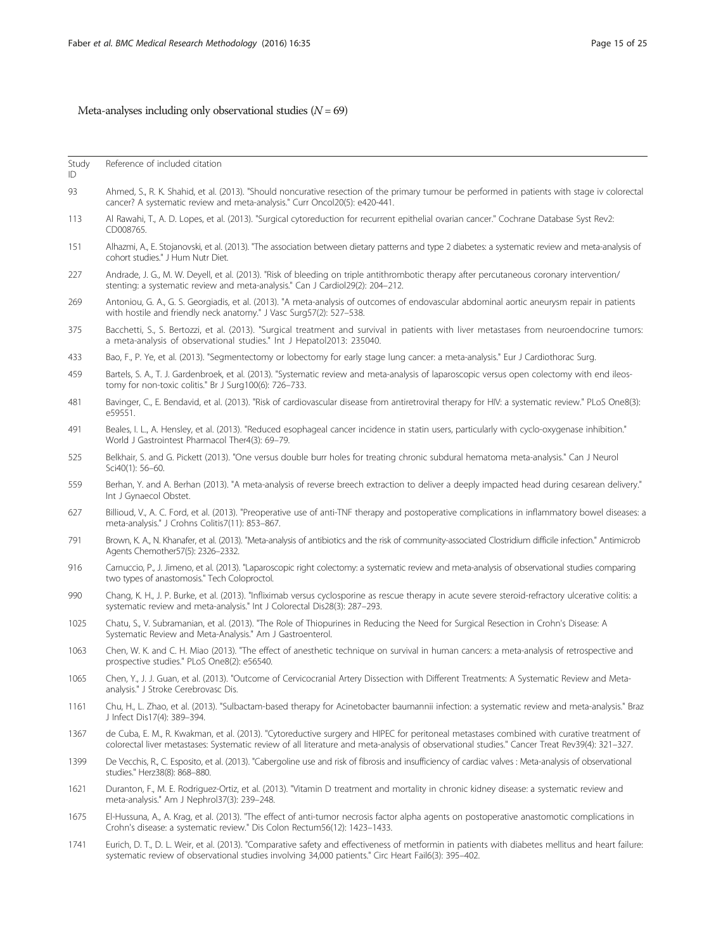## Meta-analyses including only observational studies  $(N = 69)$

Study Reference of included citation

ID

- 93 Ahmed, S., R. K. Shahid, et al. (2013). "Should noncurative resection of the primary tumour be performed in patients with stage iv colorectal cancer? A systematic review and meta-analysis." Curr Oncol20(5): e420-441.
- 113 Al Rawahi, T., A. D. Lopes, et al. (2013). "Surgical cytoreduction for recurrent epithelial ovarian cancer." Cochrane Database Syst Rev2: CD008765.
- 151 Alhazmi, A., E. Stojanovski, et al. (2013). "The association between dietary patterns and type 2 diabetes: a systematic review and meta-analysis of cohort studies." J Hum Nutr Diet.
- 227 Andrade, J. G., M. W. Deyell, et al. (2013). "Risk of bleeding on triple antithrombotic therapy after percutaneous coronary intervention/ stenting: a systematic review and meta-analysis." Can J Cardiol29(2): 204–212.
- 269 Antoniou, G. A., G. S. Georgiadis, et al. (2013). "A meta-analysis of outcomes of endovascular abdominal aortic aneurysm repair in patients with hostile and friendly neck anatomy." J Vasc Surg57(2): 527–538.
- 375 Bacchetti, S., S. Bertozzi, et al. (2013). "Surgical treatment and survival in patients with liver metastases from neuroendocrine tumors: a meta-analysis of observational studies." Int J Hepatol2013: 235040.
- 433 Bao, F., P. Ye, et al. (2013). "Segmentectomy or lobectomy for early stage lung cancer: a meta-analysis." Eur J Cardiothorac Surg.
- 459 Bartels, S. A., T. J. Gardenbroek, et al. (2013). "Systematic review and meta-analysis of laparoscopic versus open colectomy with end ileostomy for non-toxic colitis." Br J Surg100(6): 726–733.
- 481 Bavinger, C., E. Bendavid, et al. (2013). "Risk of cardiovascular disease from antiretroviral therapy for HIV: a systematic review." PLoS One8(3): e59551.
- 491 Beales, I. L., A. Hensley, et al. (2013). "Reduced esophageal cancer incidence in statin users, particularly with cyclo-oxygenase inhibition." World J Gastrointest Pharmacol Ther4(3): 69–79.
- 525 Belkhair, S. and G. Pickett (2013). "One versus double burr holes for treating chronic subdural hematoma meta-analysis." Can J Neurol Sci40(1): 56–60.
- 559 Berhan, Y. and A. Berhan (2013). "A meta-analysis of reverse breech extraction to deliver a deeply impacted head during cesarean delivery." Int J Gynaecol Obstet.
- 627 Billioud, V., A. C. Ford, et al. (2013). "Preoperative use of anti-TNF therapy and postoperative complications in inflammatory bowel diseases: a meta-analysis." J Crohns Colitis7(11): 853–867.
- 791 Brown, K. A., N. Khanafer, et al. (2013). "Meta-analysis of antibiotics and the risk of community-associated Clostridium difficile infection." Antimicrob Agents Chemother57(5): 2326–2332.
- 916 Carnuccio, P., J. Jimeno, et al. (2013). "Laparoscopic right colectomy: a systematic review and meta-analysis of observational studies comparing two types of anastomosis." Tech Coloproctol.
- 990 Chang, K. H., J. P. Burke, et al. (2013). "Infliximab versus cyclosporine as rescue therapy in acute severe steroid-refractory ulcerative colitis: a systematic review and meta-analysis." Int J Colorectal Dis28(3): 287–293.
- 1025 Chatu, S., V. Subramanian, et al. (2013). "The Role of Thiopurines in Reducing the Need for Surgical Resection in Crohn's Disease: A Systematic Review and Meta-Analysis." Am J Gastroenterol.
- 1063 Chen, W. K. and C. H. Miao (2013). "The effect of anesthetic technique on survival in human cancers: a meta-analysis of retrospective and prospective studies." PLoS One8(2): e56540.
- 1065 Chen, Y., J. J. Guan, et al. (2013). "Outcome of Cervicocranial Artery Dissection with Different Treatments: A Systematic Review and Metaanalysis." J Stroke Cerebrovasc Dis.
- 1161 Chu, H., L. Zhao, et al. (2013). "Sulbactam-based therapy for Acinetobacter baumannii infection: a systematic review and meta-analysis." Braz J Infect Dis17(4): 389–394.
- 1367 de Cuba, E. M., R. Kwakman, et al. (2013). "Cytoreductive surgery and HIPEC for peritoneal metastases combined with curative treatment of colorectal liver metastases: Systematic review of all literature and meta-analysis of observational studies." Cancer Treat Rev39(4): 321–327.
- 1399 De Vecchis, R., C. Esposito, et al. (2013). "Cabergoline use and risk of fibrosis and insufficiency of cardiac valves : Meta-analysis of observational studies." Herz38(8): 868–880.
- 1621 Duranton, F., M. E. Rodriguez-Ortiz, et al. (2013). "Vitamin D treatment and mortality in chronic kidney disease: a systematic review and meta-analysis." Am J Nephrol37(3): 239–248.
- 1675 El-Hussuna, A., A. Krag, et al. (2013). "The effect of anti-tumor necrosis factor alpha agents on postoperative anastomotic complications in Crohn's disease: a systematic review." Dis Colon Rectum56(12): 1423–1433.
- 1741 Eurich, D. T., D. L. Weir, et al. (2013). "Comparative safety and effectiveness of metformin in patients with diabetes mellitus and heart failure: systematic review of observational studies involving 34,000 patients." Circ Heart Fail6(3): 395–402.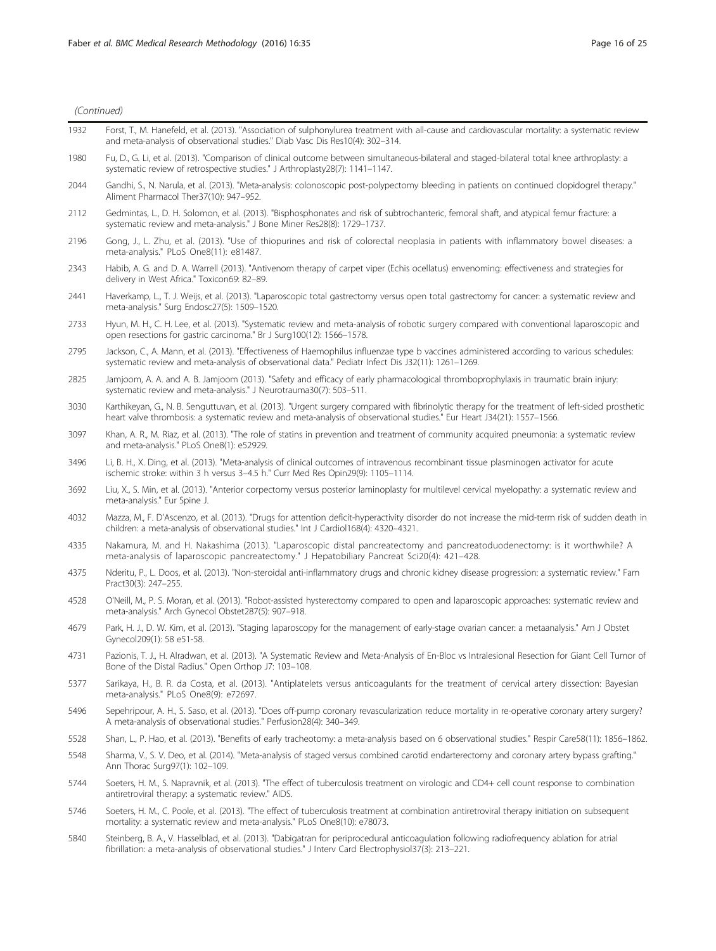| 1932 | Forst, T., M. Hanefeld, et al. (2013). "Association of sulphonylurea treatment with all-cause and cardiovascular mortality: a systematic review<br>and meta-analysis of observational studies." Diab Vasc Dis Res10(4): 302-314.                                           |
|------|----------------------------------------------------------------------------------------------------------------------------------------------------------------------------------------------------------------------------------------------------------------------------|
| 1980 | Fu, D., G. Li, et al. (2013). "Comparison of clinical outcome between simultaneous-bilateral and staged-bilateral total knee arthroplasty: a<br>systematic review of retrospective studies." J Arthroplasty28(7): 1141-1147.                                               |
| 2044 | Gandhi, S., N. Narula, et al. (2013). "Meta-analysis: colonoscopic post-polypectomy bleeding in patients on continued clopidogrel therapy."<br>Aliment Pharmacol Ther37(10): 947-952.                                                                                      |
| 2112 | Gedmintas, L., D. H. Solomon, et al. (2013). "Bisphosphonates and risk of subtrochanteric, femoral shaft, and atypical femur fracture: a<br>systematic review and meta-analysis." J Bone Miner Res28(8): 1729-1737.                                                        |
| 2196 | Gong, J., L. Zhu, et al. (2013). "Use of thiopurines and risk of colorectal neoplasia in patients with inflammatory bowel diseases: a<br>meta-analysis." PLoS One8(11): e81487.                                                                                            |
| 2343 | Habib, A. G. and D. A. Warrell (2013). "Antivenom therapy of carpet viper (Echis ocellatus) envenoming: effectiveness and strategies for<br>delivery in West Africa." Toxicon69: 82-89.                                                                                    |
| 2441 | Haverkamp, L., T. J. Weijs, et al. (2013). "Laparoscopic total gastrectomy versus open total gastrectomy for cancer: a systematic review and<br>meta-analysis." Surg Endosc27(5): 1509-1520.                                                                               |
| 2733 | Hyun, M. H., C. H. Lee, et al. (2013). "Systematic review and meta-analysis of robotic surgery compared with conventional laparoscopic and<br>open resections for gastric carcinoma." Br J Surg100(12): 1566-1578.                                                         |
| 2795 | Jackson, C., A. Mann, et al. (2013). "Effectiveness of Haemophilus influenzae type b vaccines administered according to various schedules:<br>systematic review and meta-analysis of observational data." Pediatr Infect Dis J32(11): 1261-1269.                           |
| 2825 | Jamjoom, A. A. and A. B. Jamjoom (2013). "Safety and efficacy of early pharmacological thromboprophylaxis in traumatic brain injury:<br>systematic review and meta-analysis." J Neurotrauma30(7): 503-511.                                                                 |
| 3030 | Karthikeyan, G., N. B. Senguttuvan, et al. (2013). "Urgent surgery compared with fibrinolytic therapy for the treatment of left-sided prosthetic<br>heart valve thrombosis: a systematic review and meta-analysis of observational studies." Eur Heart J34(21): 1557-1566. |
| 3097 | Khan, A. R., M. Riaz, et al. (2013). "The role of statins in prevention and treatment of community acquired pneumonia: a systematic review<br>and meta-analysis." PLoS One8(1): e52929.                                                                                    |
| 3496 | Li, B. H., X. Ding, et al. (2013). "Meta-analysis of clinical outcomes of intravenous recombinant tissue plasminogen activator for acute<br>ischemic stroke: within 3 h versus 3-4.5 h." Curr Med Res Opin29(9): 1105-1114.                                                |
| 3692 | Liu, X., S. Min, et al. (2013). "Anterior corpectomy versus posterior laminoplasty for multilevel cervical myelopathy: a systematic review and<br>meta-analysis." Eur Spine J.                                                                                             |
| 4032 | Mazza, M., F. D'Ascenzo, et al. (2013). "Drugs for attention deficit-hyperactivity disorder do not increase the mid-term risk of sudden death in<br>children: a meta-analysis of observational studies." Int J Cardiol168(4): 4320-4321.                                   |
| 4335 | Nakamura, M. and H. Nakashima (2013). "Laparoscopic distal pancreatectomy and pancreatoduodenectomy: is it worthwhile? A<br>meta-analysis of laparoscopic pancreatectomy." J Hepatobiliary Pancreat Sci20(4): 421-428.                                                     |
| 4375 | Nderitu, P., L. Doos, et al. (2013). "Non-steroidal anti-inflammatory drugs and chronic kidney disease progression: a systematic review." Fam<br>Pract30(3): 247-255.                                                                                                      |
| 4528 | O'Neill, M., P. S. Moran, et al. (2013). "Robot-assisted hysterectomy compared to open and laparoscopic approaches: systematic review and<br>meta-analysis." Arch Gynecol Obstet287(5): 907-918.                                                                           |
| 4679 | Park, H. J., D. W. Kim, et al. (2013). "Staging laparoscopy for the management of early-stage ovarian cancer: a metaanalysis." Am J Obstet<br>Gynecol209(1): 58 e51-58.                                                                                                    |
| 4731 | Pazionis, T. J., H. Alradwan, et al. (2013). "A Systematic Review and Meta-Analysis of En-Bloc vs Intralesional Resection for Giant Cell Tumor of<br>Bone of the Distal Radius." Open Orthop J7: 103–108.                                                                  |
| 5377 | Sarikaya, H., B. R. da Costa, et al. (2013). "Antiplatelets versus anticoagulants for the treatment of cervical artery dissection: Bayesian<br>meta-analysis." PLoS One8(9): e72697.                                                                                       |
| 5496 | Sepehripour, A. H., S. Saso, et al. (2013). "Does off-pump coronary revascularization reduce mortality in re-operative coronary artery surgery?<br>A meta-analysis of observational studies." Perfusion28(4): 340-349.                                                     |
| 5528 | Shan, L., P. Hao, et al. (2013). "Benefits of early tracheotomy: a meta-analysis based on 6 observational studies." Respir Care58(11): 1856-1862.                                                                                                                          |
| 5548 | Sharma, V., S. V. Deo, et al. (2014). "Meta-analysis of staged versus combined carotid endarterectomy and coronary artery bypass grafting."<br>Ann Thorac Surg97(1): 102-109.                                                                                              |
| 5744 | Soeters, H. M., S. Napravnik, et al. (2013). "The effect of tuberculosis treatment on virologic and CD4+ cell count response to combination<br>antiretroviral therapy: a systematic review." AIDS.                                                                         |
| 5746 | Soeters, H. M., C. Poole, et al. (2013). "The effect of tuberculosis treatment at combination antiretroviral therapy initiation on subsequent<br>mortality: a systematic review and meta-analysis." PLoS One8(10): e78073.                                                 |
| 5840 | Steinberg, B. A., V. Hasselblad, et al. (2013). "Dabigatran for periprocedural anticoagulation following radiofrequency ablation for atrial                                                                                                                                |

fibrillation: a meta-analysis of observational studies." J Interv Card Electrophysiol37(3): 213–221.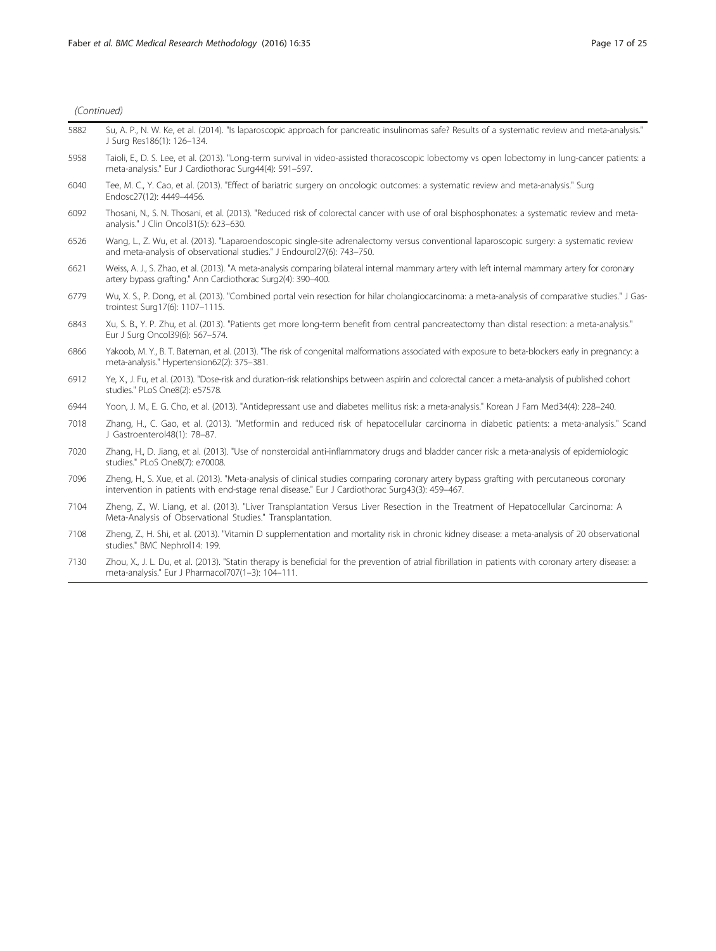|      | (Continued)                                                                                                                                                                                                                                 |  |
|------|---------------------------------------------------------------------------------------------------------------------------------------------------------------------------------------------------------------------------------------------|--|
| 5882 | Su, A. P., N. W. Ke, et al. (2014). "Is laparoscopic approach for pancreatic insulinomas safe? Results of a systematic review and meta-analysis."<br>J Surg Res186(1): 126-134.                                                             |  |
| 5958 | Taioli, E., D. S. Lee, et al. (2013). "Long-term survival in video-assisted thoracoscopic lobectomy vs open lobectomy in lung-cancer patients: a<br>meta-analysis." Eur J Cardiothorac Surg44(4): 591-597.                                  |  |
| 6040 | Tee, M. C., Y. Cao, et al. (2013). "Effect of bariatric surgery on oncologic outcomes: a systematic review and meta-analysis." Surg<br>Endosc27(12): 4449-4456.                                                                             |  |
| 6092 | Thosani, N., S. N. Thosani, et al. (2013). "Reduced risk of colorectal cancer with use of oral bisphosphonates: a systematic review and meta-<br>analysis." J Clin Oncol31(5): 623-630.                                                     |  |
| 6526 | Wang, L., Z. Wu, et al. (2013). "Laparoendoscopic single-site adrenalectomy versus conventional laparoscopic surgery: a systematic review<br>and meta-analysis of observational studies." J Endourol27(6): 743-750.                         |  |
| 6621 | Weiss, A. J., S. Zhao, et al. (2013). "A meta-analysis comparing bilateral internal mammary artery with left internal mammary artery for coronary<br>artery bypass grafting." Ann Cardiothorac Surg2(4): 390-400.                           |  |
| 6779 | Wu, X. S., P. Dong, et al. (2013). "Combined portal vein resection for hilar cholangiocarcinoma: a meta-analysis of comparative studies." J Gas-<br>trointest Surg17(6): 1107-1115.                                                         |  |
| 6843 | Xu, S. B., Y. P. Zhu, et al. (2013). "Patients get more long-term benefit from central pancreatectomy than distal resection: a meta-analysis."<br>Eur J Surg Oncol39(6): 567-574.                                                           |  |
| 6866 | Yakoob, M.Y., B.T. Bateman, et al. (2013). "The risk of congenital malformations associated with exposure to beta-blockers early in pregnancy: a<br>meta-analysis." Hypertension62(2): 375-381.                                             |  |
| 6912 | Ye, X., J. Fu, et al. (2013). "Dose-risk and duration-risk relationships between aspirin and colorectal cancer: a meta-analysis of published cohort<br>studies." PLoS One8(2): e57578.                                                      |  |
| 6944 | Yoon, J. M., E. G. Cho, et al. (2013). "Antidepressant use and diabetes mellitus risk: a meta-analysis." Korean J Fam Med34(4): 228-240.                                                                                                    |  |
| 7018 | Zhang, H., C. Gao, et al. (2013). "Metformin and reduced risk of hepatocellular carcinoma in diabetic patients: a meta-analysis." Scand<br>J Gastroenterol48(1): 78-87.                                                                     |  |
| 7020 | Zhang, H., D. Jiang, et al. (2013). "Use of nonsteroidal anti-inflammatory drugs and bladder cancer risk: a meta-analysis of epidemiologic<br>studies." PLoS One8(7): e70008.                                                               |  |
| 7096 | Zheng, H., S. Xue, et al. (2013). "Meta-analysis of clinical studies comparing coronary artery bypass grafting with percutaneous coronary<br>intervention in patients with end-stage renal disease." Eur J Cardiothorac Surg43(3): 459-467. |  |
| 7104 | Zheng, Z., W. Liang, et al. (2013). "Liver Transplantation Versus Liver Resection in the Treatment of Hepatocellular Carcinoma: A<br>Meta-Analysis of Observational Studies." Transplantation.                                              |  |
| 7108 | Zheng, Z., H. Shi, et al. (2013). "Vitamin D supplementation and mortality risk in chronic kidney disease: a meta-analysis of 20 observational<br>studies." BMC Nephrol14: 199.                                                             |  |
| 7130 | Zhou, X., J. L. Du, et al. (2013). "Statin therapy is beneficial for the prevention of atrial fibrillation in patients with coronary artery disease: a<br>meta-analysis." Eur J Pharmacol707(1-3): 104-111.                                 |  |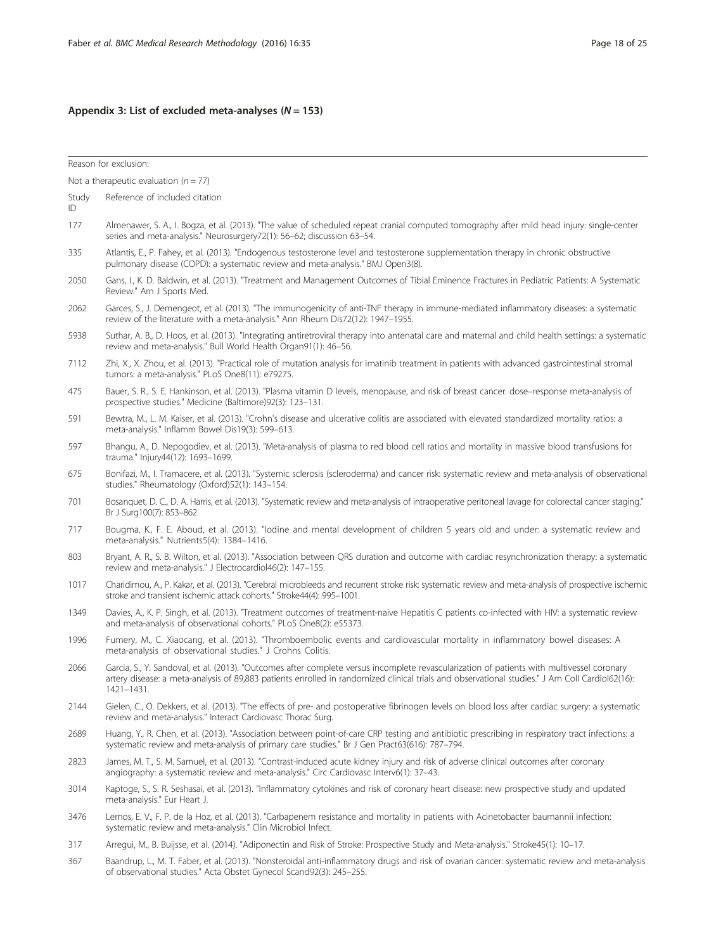# <span id="page-17-0"></span>Appendix 3: List of excluded meta-analyses  $(N = 153)$

|             | Reason for exclusion:                                                                                                                                                                                                                                                                                      |
|-------------|------------------------------------------------------------------------------------------------------------------------------------------------------------------------------------------------------------------------------------------------------------------------------------------------------------|
|             | Not a therapeutic evaluation ( $n = 77$ )                                                                                                                                                                                                                                                                  |
| Study<br>ID | Reference of included citation                                                                                                                                                                                                                                                                             |
| 177         | Almenawer, S. A., I. Bogza, et al. (2013). "The value of scheduled repeat cranial computed tomography after mild head injury: single-center<br>series and meta-analysis." Neurosurgery72(1): 56-62; discussion 63-54.                                                                                      |
| 335         | Atlantis, E., P. Fahey, et al. (2013). "Endogenous testosterone level and testosterone supplementation therapy in chronic obstructive<br>pulmonary disease (COPD): a systematic review and meta-analysis." BMJ Open3(8).                                                                                   |
| 2050        | Gans, I., K. D. Baldwin, et al. (2013). "Treatment and Management Outcomes of Tibial Eminence Fractures in Pediatric Patients: A Systematic<br>Review." Am J Sports Med.                                                                                                                                   |
| 2062        | Garces, S., J. Demengeot, et al. (2013). "The immunogenicity of anti-TNF therapy in immune-mediated inflammatory diseases: a systematic<br>review of the literature with a meta-analysis." Ann Rheum Dis72(12): 1947-1955.                                                                                 |
| 5938        | Suthar, A. B., D. Hoos, et al. (2013). "Integrating antiretroviral therapy into antenatal care and maternal and child health settings: a systematic<br>review and meta-analysis." Bull World Health Organ91(1): 46-56.                                                                                     |
| 7112        | Zhi, X., X. Zhou, et al. (2013). "Practical role of mutation analysis for imatinib treatment in patients with advanced gastrointestinal stromal<br>tumors: a meta-analysis." PLoS One8(11): e79275.                                                                                                        |
| 475         | Bauer, S. R., S. E. Hankinson, et al. (2013). "Plasma vitamin D levels, menopause, and risk of breast cancer: dose-response meta-analysis of<br>prospective studies." Medicine (Baltimore)92(3): 123-131.                                                                                                  |
| 591         | Bewtra, M., L. M. Kaiser, et al. (2013). "Crohn's disease and ulcerative colitis are associated with elevated standardized mortality ratios: a<br>meta-analysis." Inflamm Bowel Dis19(3): 599-613.                                                                                                         |
| 597         | Bhangu, A., D. Nepogodiev, et al. (2013). "Meta-analysis of plasma to red blood cell ratios and mortality in massive blood transfusions for<br>trauma." Injury44(12): 1693-1699.                                                                                                                           |
| 675         | Bonifazi, M., I. Tramacere, et al. (2013). "Systemic sclerosis (scleroderma) and cancer risk: systematic review and meta-analysis of observational<br>studies." Rheumatology (Oxford)52(1): 143-154.                                                                                                       |
| 701         | Bosanquet, D. C., D. A. Harris, et al. (2013). "Systematic review and meta-analysis of intraoperative peritoneal lavage for colorectal cancer staging."<br>Br J Surg100(7): 853-862.                                                                                                                       |
| 717         | Bougma, K., F. E. Aboud, et al. (2013). "lodine and mental development of children 5 years old and under: a systematic review and<br>meta-analysis." Nutrients5(4): 1384-1416.                                                                                                                             |
| 803         | Bryant, A. R., S. B. Wilton, et al. (2013). "Association between QRS duration and outcome with cardiac resynchronization therapy: a systematic<br>review and meta-analysis." J Electrocardiol46(2): 147-155.                                                                                               |
| 1017        | Charidimou, A., P. Kakar, et al. (2013). "Cerebral microbleeds and recurrent stroke risk: systematic review and meta-analysis of prospective ischemic<br>stroke and transient ischemic attack cohorts." Stroke44(4): 995-1001.                                                                             |
| 1349        | Davies, A., K. P. Singh, et al. (2013). "Treatment outcomes of treatment-naive Hepatitis C patients co-infected with HIV: a systematic review<br>and meta-analysis of observational cohorts." PLoS One8(2): e55373.                                                                                        |
| 1996        | Fumery, M., C. Xiaocang, et al. (2013). "Thromboembolic events and cardiovascular mortality in inflammatory bowel diseases: A<br>meta-analysis of observational studies." J Crohns Colitis.                                                                                                                |
| 2066        | Garcia, S., Y. Sandoval, et al. (2013). "Outcomes after complete versus incomplete revascularization of patients with multivessel coronary<br>artery disease: a meta-analysis of 89,883 patients enrolled in randomized clinical trials and observational studies." J Am Coll Cardiol62(16):<br>1421-1431. |
| 2144        | Gielen, C., O. Dekkers, et al. (2013). "The effects of pre- and postoperative fibrinogen levels on blood loss after cardiac surgery: a systematic<br>review and meta-analysis." Interact Cardiovasc Thorac Surg.                                                                                           |
| 2689        | Huang, Y., R. Chen, et al. (2013). "Association between point-of-care CRP testing and antibiotic prescribing in respiratory tract infections: a<br>systematic review and meta-analysis of primary care studies." Br J Gen Pract63(616): 787-794.                                                           |
| 2823        | James, M. T., S. M. Samuel, et al. (2013). "Contrast-induced acute kidney injury and risk of adverse clinical outcomes after coronary<br>angiography: a systematic review and meta-analysis." Circ Cardiovasc Interv6(1): 37-43.                                                                           |
| 3014        | Kaptoge, S., S. R. Seshasai, et al. (2013). "Inflammatory cytokines and risk of coronary heart disease: new prospective study and updated<br>meta-analysis." Eur Heart J.                                                                                                                                  |
| 3476        | Lemos, E. V., F. P. de la Hoz, et al. (2013). "Carbapenem resistance and mortality in patients with Acinetobacter baumannii infection:<br>systematic review and meta-analysis." Clin Microbiol Infect.                                                                                                     |
| 317         | Arrequi, M., B. Buijsse, et al. (2014). "Adiponectin and Risk of Stroke: Prospective Study and Meta-analysis." Stroke45(1): 10–17.                                                                                                                                                                         |
| 367         | Baandrup, L., M. T. Faber, et al. (2013). "Nonsteroidal anti-inflammatory drugs and risk of ovarian cancer: systematic review and meta-analysis<br>of observational studies." Acta Obstet Gynecol Scand92(3): 245-255.                                                                                     |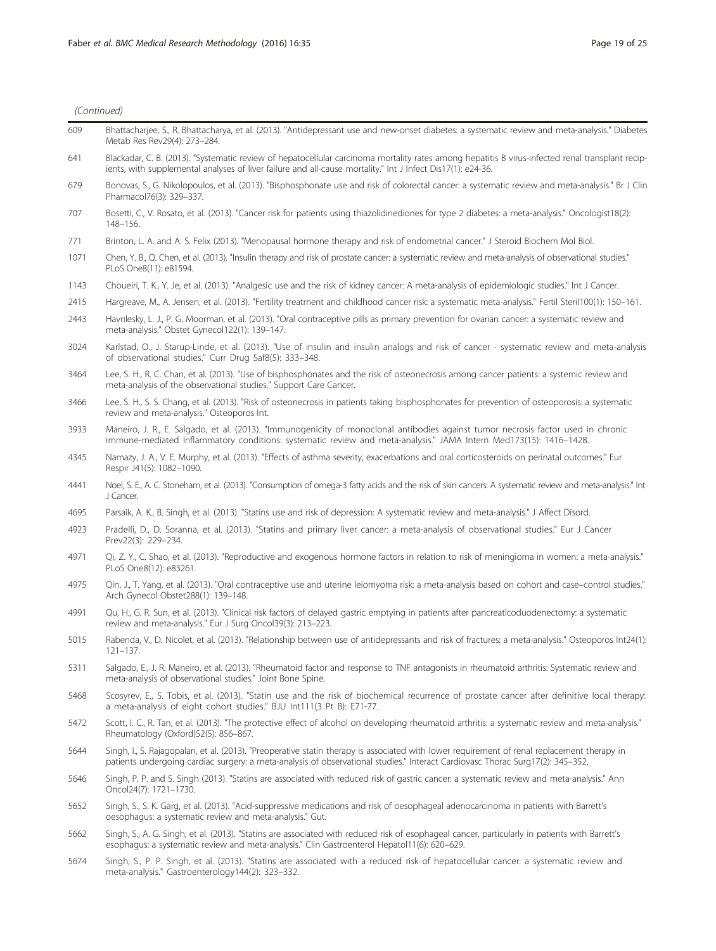| 609  | Bhattacharjee, S., R. Bhattacharya, et al. (2013). "Antidepressant use and new-onset diabetes: a systematic review and meta-analysis." Diabetes<br>Metab Res Rev29(4): 273-284.                                                                                               |
|------|-------------------------------------------------------------------------------------------------------------------------------------------------------------------------------------------------------------------------------------------------------------------------------|
| 641  | Blackadar, C. B. (2013). "Systematic review of hepatocellular carcinoma mortality rates among hepatitis B virus-infected renal transplant recip-<br>ients, with supplemental analyses of liver failure and all-cause mortality." Int J Infect Dis17(1): e24-36.               |
| 679  | Bonovas, S., G. Nikolopoulos, et al. (2013). "Bisphosphonate use and risk of colorectal cancer: a systematic review and meta-analysis." Br J Clir<br>Pharmacol76(3): 329-337.                                                                                                 |
| 707  | Bosetti, C., V. Rosato, et al. (2013). "Cancer risk for patients using thiazolidinediones for type 2 diabetes: a meta-analysis." Oncologist18(2):<br>148-156.                                                                                                                 |
| 771  | Brinton, L. A. and A. S. Felix (2013). "Menopausal hormone therapy and risk of endometrial cancer." J Steroid Biochem Mol Biol.                                                                                                                                               |
| 1071 | Chen, Y. B., Q. Chen, et al. (2013). "Insulin therapy and risk of prostate cancer: a systematic review and meta-analysis of observational studies."<br>PLoS One8(11): e81594.                                                                                                 |
| 1143 | Choueiri, T. K., Y. Je, et al. (2013). "Analgesic use and the risk of kidney cancer: A meta-analysis of epidemiologic studies." Int J Cancer.                                                                                                                                 |
| 2415 | Hargreave, M., A. Jensen, et al. (2013). "Fertility treatment and childhood cancer risk: a systematic meta-analysis." Fertil Steril100(1): 150-161.                                                                                                                           |
| 2443 | Havrilesky, L. J., P. G. Moorman, et al. (2013). "Oral contraceptive pills as primary prevention for ovarian cancer: a systematic review and<br>meta-analysis." Obstet Gynecol122(1): 139-147.                                                                                |
| 3024 | Karlstad, O., J. Starup-Linde, et al. (2013). "Use of insulin and insulin analogs and risk of cancer - systematic review and meta-analysis<br>of observational studies." Curr Drug Saf8(5): 333-348.                                                                          |
| 3464 | Lee, S. H., R. C. Chan, et al. (2013). "Use of bisphosphonates and the risk of osteonecrosis among cancer patients: a systemic review and<br>meta-analysis of the observational studies." Support Care Cancer.                                                                |
| 3466 | Lee, S. H., S. S. Chang, et al. (2013). "Risk of osteonecrosis in patients taking bisphosphonates for prevention of osteoporosis: a systematic<br>review and meta-analysis." Osteoporos Int.                                                                                  |
| 3933 | Maneiro, J. R., E. Salgado, et al. (2013). "Immunogenicity of monoclonal antibodies against tumor necrosis factor used in chronic<br>immune-mediated Inflammatory conditions: systematic review and meta-analysis." JAMA Intern Med173(15): 1416-1428.                        |
| 4345 | Namazy, J. A., V. E. Murphy, et al. (2013). "Effects of asthma severity, exacerbations and oral corticosteroids on perinatal outcomes." Eur<br>Respir J41(5): 1082-1090.                                                                                                      |
| 4441 | Noel, S. E., A. C. Stoneham, et al. (2013). "Consumption of omega-3 fatty acids and the risk of skin cancers: A systematic review and meta-analysis." Int<br>J Cancer.                                                                                                        |
| 4695 | Parsaik, A. K., B. Singh, et al. (2013). "Statins use and risk of depression: A systematic review and meta-analysis." J Affect Disord.                                                                                                                                        |
| 4923 | Pradelli, D., D. Soranna, et al. (2013). "Statins and primary liver cancer: a meta-analysis of observational studies." Eur J Cancer<br>Prev22(3): 229-234.                                                                                                                    |
| 4971 | Qi, Z. Y., C. Shao, et al. (2013). "Reproductive and exogenous hormone factors in relation to risk of meningioma in women: a meta-analysis."<br>PLoS One8(12): e83261.                                                                                                        |
| 4975 | Qin, J., T. Yang, et al. (2013). "Oral contraceptive use and uterine leiomyoma risk: a meta-analysis based on cohort and case-control studies."<br>Arch Gynecol Obstet288(1): 139-148.                                                                                        |
| 4991 | Qu, H., G. R. Sun, et al. (2013). "Clinical risk factors of delayed gastric emptying in patients after pancreaticoduodenectomy: a systematic<br>review and meta-analysis." Eur J Surg Oncol39(3): 213-223.                                                                    |
| 5015 | Rabenda, V., D. Nicolet, et al. (2013). "Relationship between use of antidepressants and risk of fractures: a meta-analysis." Osteoporos Int24(1).<br>$121 - 137.$                                                                                                            |
| 5311 | Salgado, E., J. R. Maneiro, et al. (2013). "Rheumatoid factor and response to TNF antagonists in rheumatoid arthritis: Systematic review and<br>meta-analysis of observational studies." Joint Bone Spine.                                                                    |
| 5468 | Scosyrev, E., S. Tobis, et al. (2013). "Statin use and the risk of biochemical recurrence of prostate cancer after definitive local therapy:<br>a meta-analysis of eight cohort studies." BJU Int111(3 Pt B): E71-77.                                                         |
| 5472 | Scott, I. C., R. Tan, et al. (2013). "The protective effect of alcohol on developing rheumatoid arthritis: a systematic review and meta-analysis."<br>Rheumatology (Oxford)52(5): 856-867.                                                                                    |
| 5644 | Singh, I., S. Rajagopalan, et al. (2013). "Preoperative statin therapy is associated with lower requirement of renal replacement therapy in<br>patients undergoing cardiac surgery: a meta-analysis of observational studies." Interact Cardiovasc Thorac Surg17(2): 345-352. |
| 5646 | Singh, P. P. and S. Singh (2013). "Statins are associated with reduced risk of gastric cancer: a systematic review and meta-analysis." Ann<br>Oncol24(7): 1721-1730.                                                                                                          |
| 5652 | Singh, S., S. K. Garg, et al. (2013). "Acid-suppressive medications and risk of oesophageal adenocarcinoma in patients with Barrett's<br>oesophagus: a systematic review and meta-analysis." Gut.                                                                             |
| 5662 | Singh, S., A. G. Singh, et al. (2013). "Statins are associated with reduced risk of esophageal cancer, particularly in patients with Barrett's<br>esophagus: a systematic review and meta-analysis." Clin Gastroenterol Hepatol11(6): 620-629.                                |

5674 Singh, S., P. P. Singh, et al. (2013). "Statins are associated with a reduced risk of hepatocellular cancer: a systematic review and meta-analysis." Gastroenterology144(2): 323–332.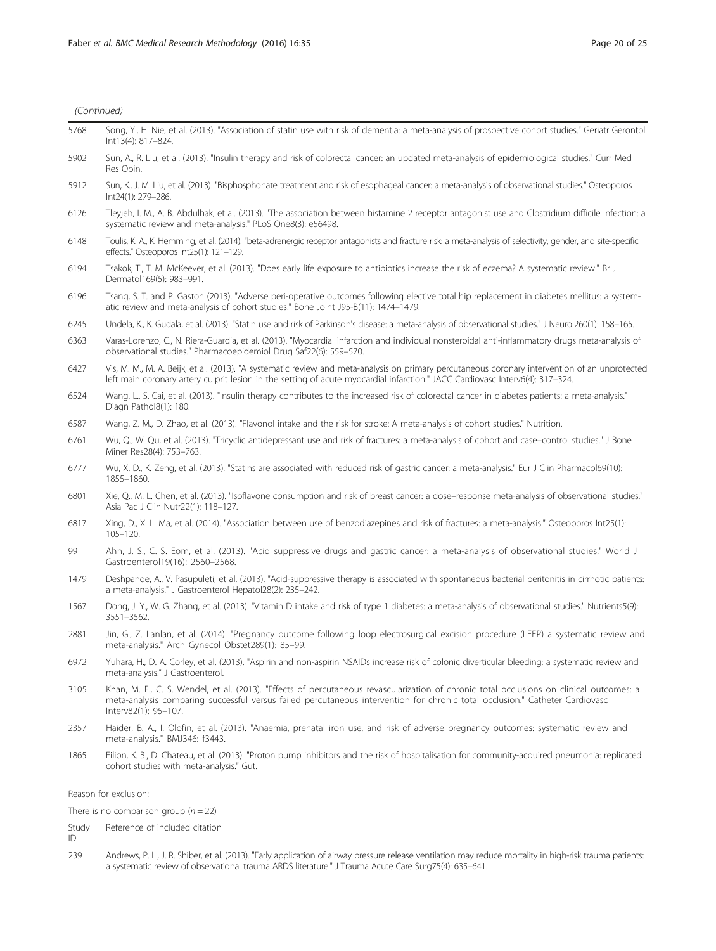| (Continued) |  |
|-------------|--|
|             |  |

| 5768  | Song, Y., H. Nie, et al. (2013). "Association of statin use with risk of dementia: a meta-analysis of prospective cohort studies." Geriatr Gerontol<br>Int13(4): 817-824.                                                                                                                        |
|-------|--------------------------------------------------------------------------------------------------------------------------------------------------------------------------------------------------------------------------------------------------------------------------------------------------|
| 5902  | Sun, A., R. Liu, et al. (2013). "Insulin therapy and risk of colorectal cancer: an updated meta-analysis of epidemiological studies." Curr Med<br>Res Opin.                                                                                                                                      |
| 5912  | Sun, K., J. M. Liu, et al. (2013). "Bisphosphonate treatment and risk of esophageal cancer: a meta-analysis of observational studies." Osteoporos<br>Int24(1): 279-286.                                                                                                                          |
| 6126  | Tleyjeh, I. M., A. B. Abdulhak, et al. (2013). "The association between histamine 2 receptor antagonist use and Clostridium difficile infection: a<br>systematic review and meta-analysis." PLoS One8(3): e56498.                                                                                |
| 6148  | Toulis, K. A., K. Hemming, et al. (2014). "beta-adrenergic receptor antagonists and fracture risk: a meta-analysis of selectivity, gender, and site-specific<br>effects." Osteoporos Int25(1): 121-129.                                                                                          |
| 6194  | Tsakok, T., T. M. McKeever, et al. (2013). "Does early life exposure to antibiotics increase the risk of eczema? A systematic review." Br J<br>Dermatol169(5): 983-991.                                                                                                                          |
| 6196  | Tsang, S. T. and P. Gaston (2013). "Adverse peri-operative outcomes following elective total hip replacement in diabetes mellitus: a system-<br>atic review and meta-analysis of cohort studies." Bone Joint J95-B(11): 1474-1479.                                                               |
| 6245  | Undela, K., K. Gudala, et al. (2013). "Statin use and risk of Parkinson's disease: a meta-analysis of observational studies." J Neurol260(1): 158-165.                                                                                                                                           |
| 6363  | Varas-Lorenzo, C., N. Riera-Guardia, et al. (2013). "Myocardial infarction and individual nonsteroidal anti-inflammatory drugs meta-analysis of<br>observational studies." Pharmacoepidemiol Drug Saf22(6): 559-570.                                                                             |
| 6427  | Vis, M. M., M. A. Beijk, et al. (2013). "A systematic review and meta-analysis on primary percutaneous coronary intervention of an unprotected<br>left main coronary artery culprit lesion in the setting of acute myocardial infarction." JACC Cardiovasc Interv6(4): 317-324.                  |
| 6524  | Wang, L., S. Cai, et al. (2013). "Insulin therapy contributes to the increased risk of colorectal cancer in diabetes patients: a meta-analysis."<br>Diagn Pathol8(1): 180.                                                                                                                       |
| 6587  | Wang, Z. M., D. Zhao, et al. (2013). "Flavonol intake and the risk for stroke: A meta-analysis of cohort studies." Nutrition.                                                                                                                                                                    |
| 6761  | Wu, Q., W. Qu, et al. (2013). "Tricyclic antidepressant use and risk of fractures: a meta-analysis of cohort and case-control studies." J Bone<br>Miner Res28(4): 753-763.                                                                                                                       |
| 6777  | Wu, X. D., K. Zeng, et al. (2013). "Statins are associated with reduced risk of gastric cancer: a meta-analysis." Eur J Clin Pharmacol69(10):<br>1855-1860.                                                                                                                                      |
| 6801  | Xie, Q., M. L. Chen, et al. (2013). "Isoflavone consumption and risk of breast cancer: a dose-response meta-analysis of observational studies."<br>Asia Pac J Clin Nutr22(1): 118-127.                                                                                                           |
| 6817  | Xing, D., X. L. Ma, et al. (2014). "Association between use of benzodiazepines and risk of fractures: a meta-analysis." Osteoporos Int25(1):<br>$105 - 120.$                                                                                                                                     |
| 99    | Ahn, J. S., C. S. Eom, et al. (2013). "Acid suppressive drugs and gastric cancer: a meta-analysis of observational studies." World J<br>Gastroenterol19(16): 2560-2568.                                                                                                                          |
| 1479  | Deshpande, A., V. Pasupuleti, et al. (2013). "Acid-suppressive therapy is associated with spontaneous bacterial peritonitis in cirrhotic patients:<br>a meta-analysis." J Gastroenterol Hepatol28(2): 235-242.                                                                                   |
| 1567  | Dong, J. Y., W. G. Zhang, et al. (2013). "Vitamin D intake and risk of type 1 diabetes: a meta-analysis of observational studies." Nutrients5(9):<br>3551-3562.                                                                                                                                  |
| 2881  | Jin, G., Z. Lanlan, et al. (2014). "Pregnancy outcome following loop electrosurgical excision procedure (LEEP) a systematic review and<br>meta-analysis." Arch Gynecol Obstet289(1): 85-99.                                                                                                      |
| 6972  | Yuhara, H., D. A. Corley, et al. (2013). "Aspirin and non-aspirin NSAIDs increase risk of colonic diverticular bleeding: a systematic review and<br>meta-analysis." J Gastroenterol.                                                                                                             |
| 3105  | Khan, M. F., C. S. Wendel, et al. (2013). "Effects of percutaneous revascularization of chronic total occlusions on clinical outcomes: a<br>meta-analysis comparing successful versus failed percutaneous intervention for chronic total occlusion." Catheter Cardiovasc<br>Interv82(1): 95-107. |
| 2357  | Haider, B. A., I. Olofin, et al. (2013). "Anaemia, prenatal iron use, and risk of adverse pregnancy outcomes: systematic review and<br>meta-analysis." BMJ346: f3443.                                                                                                                            |
| 1865  | Filion, K. B., D. Chateau, et al. (2013). "Proton pump inhibitors and the risk of hospitalisation for community-acquired pneumonia: replicated<br>cohort studies with meta-analysis." Gut.                                                                                                       |
|       | Reason for exclusion:                                                                                                                                                                                                                                                                            |
|       | There is no comparison group ( $n = 22$ )                                                                                                                                                                                                                                                        |
| Study | Reference of included citation                                                                                                                                                                                                                                                                   |
| ID    |                                                                                                                                                                                                                                                                                                  |

239 Andrews, P. L., J. R. Shiber, et al. (2013). "Early application of airway pressure release ventilation may reduce mortality in high-risk trauma patients: a systematic review of observational trauma ARDS literature." J Trauma Acute Care Surg75(4): 635–641.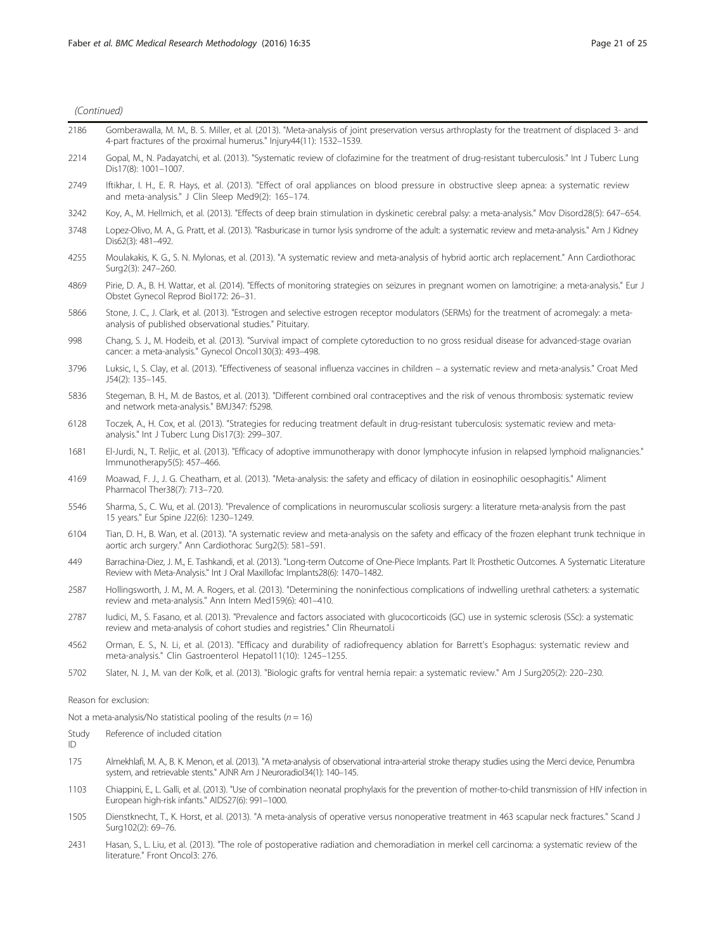literature." Front Oncol3: 276.

| 2186        | Gomberawalla, M. M., B. S. Miller, et al. (2013). "Meta-analysis of joint preservation versus arthroplasty for the treatment of displaced 3- and<br>4-part fractures of the proximal humerus." Injury44(11): 1532-1539.             |
|-------------|-------------------------------------------------------------------------------------------------------------------------------------------------------------------------------------------------------------------------------------|
| 2214        | Gopal, M., N. Padayatchi, et al. (2013). "Systematic review of clofazimine for the treatment of drug-resistant tuberculosis." Int J Tuberc Lung<br>Dis17(8): 1001-1007.                                                             |
| 2749        | Iftikhar, I. H., E. R. Hays, et al. (2013). "Effect of oral appliances on blood pressure in obstructive sleep apnea: a systematic review<br>and meta-analysis." J Clin Sleep Med9(2): 165-174.                                      |
| 3242        | Koy, A., M. Hellmich, et al. (2013). "Effects of deep brain stimulation in dyskinetic cerebral palsy: a meta-analysis." Mov Disord28(5): 647–654.                                                                                   |
| 3748        | Lopez-Olivo, M. A., G. Pratt, et al. (2013). "Rasburicase in tumor lysis syndrome of the adult: a systematic review and meta-analysis." Am J Kidney<br>Dis62(3): 481-492.                                                           |
| 4255        | Moulakakis, K. G., S. N. Mylonas, et al. (2013). "A systematic review and meta-analysis of hybrid aortic arch replacement." Ann Cardiothorac<br>Surg2(3): 247-260.                                                                  |
| 4869        | Pirie, D. A., B. H. Wattar, et al. (2014). "Effects of monitoring strategies on seizures in pregnant women on lamotrigine: a meta-analysis." Eur J<br>Obstet Gynecol Reprod Biol172: 26-31.                                         |
| 5866        | Stone, J. C., J. Clark, et al. (2013). "Estrogen and selective estrogen receptor modulators (SERMs) for the treatment of acromegaly: a meta-<br>analysis of published observational studies." Pituitary.                            |
| 998         | Chang, S. J., M. Hodeib, et al. (2013). "Survival impact of complete cytoreduction to no gross residual disease for advanced-stage ovarian<br>cancer: a meta-analysis." Gynecol Oncol130(3): 493-498.                               |
| 3796        | Luksic, I., S. Clay, et al. (2013). "Effectiveness of seasonal influenza vaccines in children - a systematic review and meta-analysis." Croat Med<br>J54(2): 135-145.                                                               |
| 5836        | Stegeman, B. H., M. de Bastos, et al. (2013). "Different combined oral contraceptives and the risk of venous thrombosis: systematic review<br>and network meta-analysis." BMJ347: f5298.                                            |
| 6128        | Toczek, A., H. Cox, et al. (2013). "Strategies for reducing treatment default in drug-resistant tuberculosis: systematic review and meta-<br>analysis." Int J Tuberc Lung Dis17(3): 299-307.                                        |
| 1681        | El-Jurdi, N., T. Reljic, et al. (2013). "Efficacy of adoptive immunotherapy with donor lymphocyte infusion in relapsed lymphoid malignancies."<br>Immunotherapy5(5): 457-466.                                                       |
| 4169        | Moawad, F. J., J. G. Cheatham, et al. (2013). "Meta-analysis: the safety and efficacy of dilation in eosinophilic oesophagitis." Aliment<br>Pharmacol Ther38(7): 713-720.                                                           |
| 5546        | Sharma, S., C. Wu, et al. (2013). "Prevalence of complications in neuromuscular scoliosis surgery: a literature meta-analysis from the past<br>15 years." Eur Spine J22(6): 1230-1249.                                              |
| 6104        | Tian, D. H., B. Wan, et al. (2013). "A systematic review and meta-analysis on the safety and efficacy of the frozen elephant trunk technique in<br>aortic arch surgery." Ann Cardiothorac Surg2(5): 581-591.                        |
| 449         | Barrachina-Diez, J. M., E. Tashkandi, et al. (2013). "Long-term Outcome of One-Piece Implants. Part II: Prosthetic Outcomes. A Systematic Literature<br>Review with Meta-Analysis." Int J Oral Maxillofac Implants28(6): 1470-1482. |
| 2587        | Hollingsworth, J. M., M. A. Rogers, et al. (2013). "Determining the noninfectious complications of indwelling urethral catheters: a systematic<br>review and meta-analysis." Ann Intern Med159(6): 401-410.                         |
| 2787        | ludici, M., S. Fasano, et al. (2013). "Prevalence and factors associated with glucocorticoids (GC) use in systemic sclerosis (SSc): a systematic<br>review and meta-analysis of cohort studies and registries." Clin Rheumatol.i    |
| 4562        | Orman, E. S., N. Li, et al. (2013). "Efficacy and durability of radiofrequency ablation for Barrett's Esophagus: systematic review and<br>meta-analysis." Clin Gastroenterol Hepatol11(10): 1245-1255.                              |
| 5702        | Slater, N. J., M. van der Kolk, et al. (2013). "Biologic grafts for ventral hernia repair: a systematic review." Am J Surg205(2): 220-230.                                                                                          |
|             | Reason for exclusion:                                                                                                                                                                                                               |
|             | Not a meta-analysis/No statistical pooling of the results ( $n = 16$ )                                                                                                                                                              |
| Study<br>ID | Reference of included citation                                                                                                                                                                                                      |
| 175         | Almekhlafi, M. A., B. K. Menon, et al. (2013). "A meta-analysis of observational intra-arterial stroke therapy studies using the Merci device, Penumbra<br>system, and retrievable stents." AJNR Am J Neuroradiol34(1): 140-145.    |
| 1103        | Chiappini, E., L. Galli, et al. (2013). "Use of combination neonatal prophylaxis for the prevention of mother-to-child transmission of HIV infection in<br>European high-risk infants." AIDS27(6): 991-1000.                        |
| 1505        | Dienstknecht, T., K. Horst, et al. (2013). "A meta-analysis of operative versus nonoperative treatment in 463 scapular neck fractures." Scand J                                                                                     |

Surg102(2): 69–76. 2431 Hasan, S., L. Liu, et al. (2013). "The role of postoperative radiation and chemoradiation in merkel cell carcinoma: a systematic review of the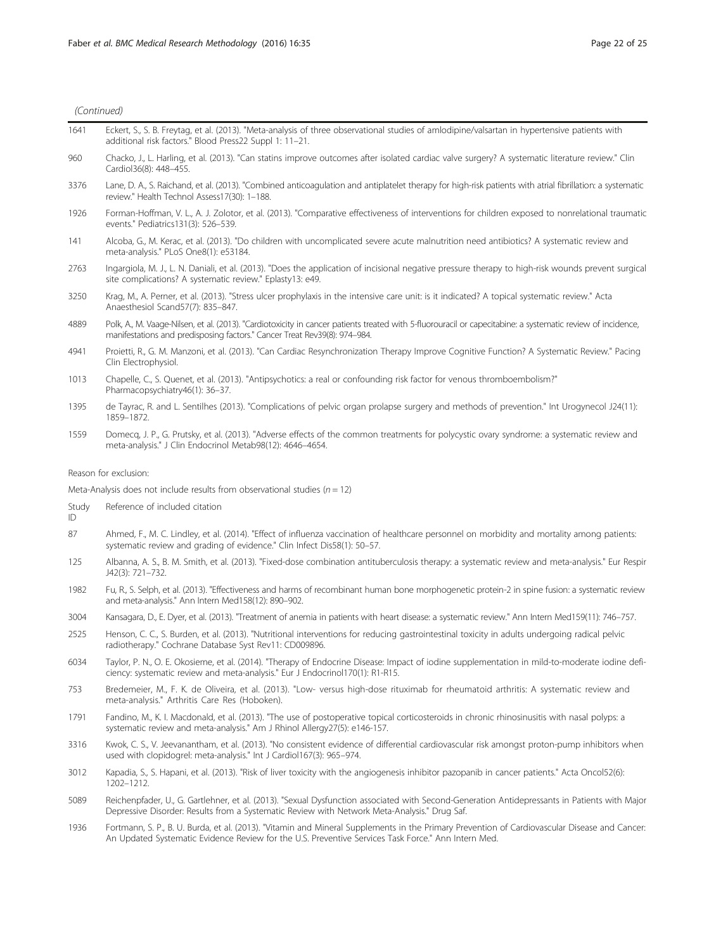| 1641 | Eckert, S., S. B. Freytag, et al. (2013). "Meta-analysis of three observational studies of amlodipine/valsartan in hypertensive patients with |
|------|-----------------------------------------------------------------------------------------------------------------------------------------------|
|      | additional risk factors." Blood Press22 Suppl 1: 11-21.                                                                                       |

- 960 Chacko, J., L. Harling, et al. (2013). "Can statins improve outcomes after isolated cardiac valve surgery? A systematic literature review." Clin Cardiol36(8): 448–455.
- 3376 Lane, D. A., S. Raichand, et al. (2013). "Combined anticoagulation and antiplatelet therapy for high-risk patients with atrial fibrillation: a systematic review." Health Technol Assess17(30): 1–188.
- 1926 Forman-Hoffman, V. L., A. J. Zolotor, et al. (2013). "Comparative effectiveness of interventions for children exposed to nonrelational traumatic events." Pediatrics131(3): 526–539.
- 141 Alcoba, G., M. Kerac, et al. (2013). "Do children with uncomplicated severe acute malnutrition need antibiotics? A systematic review and meta-analysis." PLoS One8(1): e53184.
- 2763 Ingargiola, M. J., L. N. Daniali, et al. (2013). "Does the application of incisional negative pressure therapy to high-risk wounds prevent surgical site complications? A systematic review." Eplasty13: e49.
- 3250 Krag, M., A. Perner, et al. (2013). "Stress ulcer prophylaxis in the intensive care unit: is it indicated? A topical systematic review." Acta Anaesthesiol Scand57(7): 835–847.
- 4889 Polk, A., M. Vaage-Nilsen, et al. (2013). "Cardiotoxicity in cancer patients treated with 5-fluorouracil or capecitabine: a systematic review of incidence, manifestations and predisposing factors." Cancer Treat Rev39(8): 974–984.
- 4941 Proietti, R., G. M. Manzoni, et al. (2013). "Can Cardiac Resynchronization Therapy Improve Cognitive Function? A Systematic Review." Pacing Clin Electrophysiol.
- 1013 Chapelle, C., S. Quenet, et al. (2013). "Antipsychotics: a real or confounding risk factor for venous thromboembolism?" Pharmacopsychiatry46(1): 36–37.
- 1395 de Tayrac, R. and L. Sentilhes (2013). "Complications of pelvic organ prolapse surgery and methods of prevention." Int Urogynecol J24(11): 1859–1872.
- 1559 Domecq, J. P., G. Prutsky, et al. (2013). "Adverse effects of the common treatments for polycystic ovary syndrome: a systematic review and meta-analysis." J Clin Endocrinol Metab98(12): 4646–4654.

#### Reason for exclusion:

Meta-Analysis does not include results from observational studies ( $n = 12$ )

Study Reference of included citation

ID

- 87 Ahmed, F., M. C. Lindley, et al. (2014). "Effect of influenza vaccination of healthcare personnel on morbidity and mortality among patients: systematic review and grading of evidence." Clin Infect Dis58(1): 50–57.
- 125 Albanna, A. S., B. M. Smith, et al. (2013). "Fixed-dose combination antituberculosis therapy: a systematic review and meta-analysis." Eur Respir J42(3): 721–732.
- 1982 Fu, R., S. Selph, et al. (2013). "Effectiveness and harms of recombinant human bone morphogenetic protein-2 in spine fusion: a systematic review and meta-analysis." Ann Intern Med158(12): 890–902.
- 3004 Kansagara, D., E. Dyer, et al. (2013). "Treatment of anemia in patients with heart disease: a systematic review." Ann Intern Med159(11): 746–757.
- 2525 Henson, C. C., S. Burden, et al. (2013). "Nutritional interventions for reducing gastrointestinal toxicity in adults undergoing radical pelvic radiotherapy." Cochrane Database Syst Rev11: CD009896.
- 6034 Taylor, P. N., O. E. Okosieme, et al. (2014). "Therapy of Endocrine Disease: Impact of iodine supplementation in mild-to-moderate iodine deficiency: systematic review and meta-analysis." Eur J Endocrinol170(1): R1-R15.
- 753 Bredemeier, M., F. K. de Oliveira, et al. (2013). "Low- versus high-dose rituximab for rheumatoid arthritis: A systematic review and meta-analysis." Arthritis Care Res (Hoboken).
- 1791 Fandino, M., K. I. Macdonald, et al. (2013). "The use of postoperative topical corticosteroids in chronic rhinosinusitis with nasal polyps: a systematic review and meta-analysis." Am J Rhinol Allergy27(5): e146-157.
- 3316 Kwok, C. S., V. Jeevanantham, et al. (2013). "No consistent evidence of differential cardiovascular risk amongst proton-pump inhibitors when used with clopidogrel: meta-analysis." Int J Cardiol167(3): 965–974.
- 3012 Kapadia, S., S. Hapani, et al. (2013). "Risk of liver toxicity with the angiogenesis inhibitor pazopanib in cancer patients." Acta Oncol52(6): 1202–1212.
- 5089 Reichenpfader, U., G. Gartlehner, et al. (2013). "Sexual Dysfunction associated with Second-Generation Antidepressants in Patients with Major Depressive Disorder: Results from a Systematic Review with Network Meta-Analysis." Drug Saf.
- 1936 Fortmann, S. P., B. U. Burda, et al. (2013). "Vitamin and Mineral Supplements in the Primary Prevention of Cardiovascular Disease and Cancer: An Updated Systematic Evidence Review for the U.S. Preventive Services Task Force." Ann Intern Med.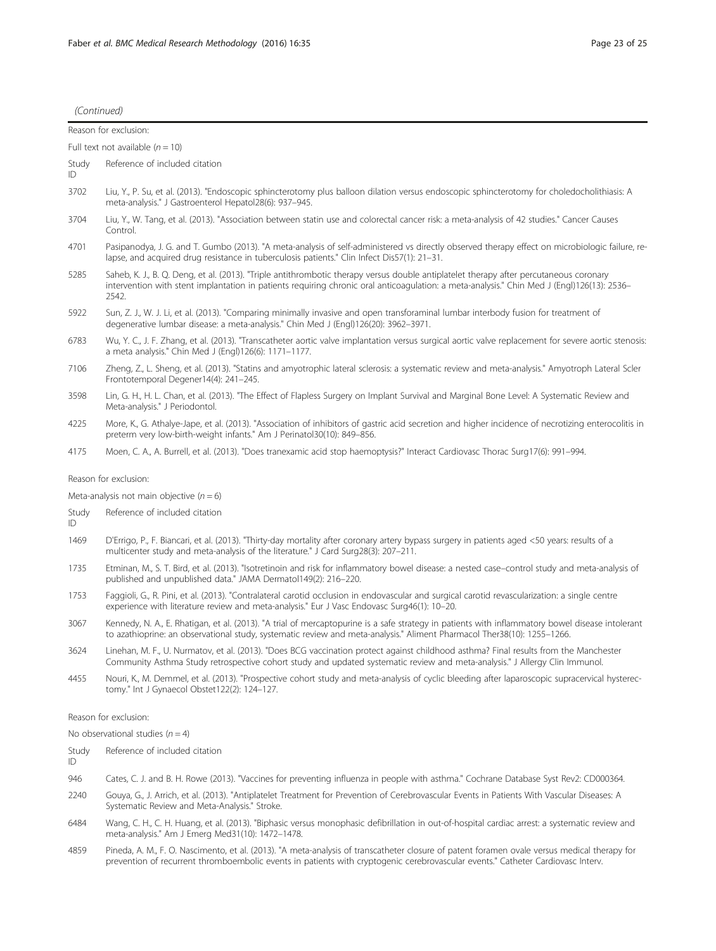|              | Reason for exclusion:                                                                                                                                                                                                                                                                         |
|--------------|-----------------------------------------------------------------------------------------------------------------------------------------------------------------------------------------------------------------------------------------------------------------------------------------------|
|              | Full text not available $(n = 10)$                                                                                                                                                                                                                                                            |
| Study<br>ID. | Reference of included citation                                                                                                                                                                                                                                                                |
| 3702         | Liu, Y., P. Su, et al. (2013). "Endoscopic sphincterotomy plus balloon dilation versus endoscopic sphincterotomy for choledocholithiasis: A<br>meta-analysis." J Gastroenterol Hepatol28(6): 937-945.                                                                                         |
| 3704         | Liu, Y., W. Tang, et al. (2013). "Association between statin use and colorectal cancer risk: a meta-analysis of 42 studies." Cancer Causes<br>Control.                                                                                                                                        |
| 4701         | Pasipanodya, J. G. and T. Gumbo (2013). "A meta-analysis of self-administered vs directly observed therapy effect on microbiologic failure, re-<br>lapse, and acquired drug resistance in tuberculosis patients." Clin Infect Dis57(1): 21-31.                                                |
| 5285         | Saheb, K. J., B. Q. Deng, et al. (2013). "Triple antithrombotic therapy versus double antiplatelet therapy after percutaneous coronary<br>intervention with stent implantation in patients requiring chronic oral anticoagulation: a meta-analysis." Chin Med J (Engl)126(13): 2536-<br>2542. |
| 5922         | Sun, Z. J., W. J. Li, et al. (2013). "Comparing minimally invasive and open transforaminal lumbar interbody fusion for treatment of<br>degenerative lumbar disease: a meta-analysis." Chin Med J (Engl)126(20): 3962-3971.                                                                    |
| 6783         | Wu, Y. C., J. F. Zhang, et al. (2013). "Transcatheter aortic valve implantation versus surgical aortic valve replacement for severe aortic stenosis:<br>a meta analysis." Chin Med J (Engl)126(6): 1171-1177.                                                                                 |
| 7106         | Zheng, Z., L. Sheng, et al. (2013). "Statins and amyotrophic lateral sclerosis: a systematic review and meta-analysis." Amyotroph Lateral Scler<br>Frontotemporal Degener14(4): 241-245.                                                                                                      |
| 3598         | Lin, G. H., H. L. Chan, et al. (2013). "The Effect of Flapless Surgery on Implant Survival and Marginal Bone Level: A Systematic Review and<br>Meta-analysis." J Periodontol.                                                                                                                 |
| 4225         | More, K., G. Athalye-Jape, et al. (2013). "Association of inhibitors of gastric acid secretion and higher incidence of necrotizing enterocolitis in<br>preterm very low-birth-weight infants." Am J Perinatol30(10): 849-856.                                                                 |
| 4175         | Moen, C. A., A. Burrell, et al. (2013). "Does tranexamic acid stop haemoptysis?" Interact Cardiovasc Thorac Surg17(6): 991-994.                                                                                                                                                               |
|              | Reason for exclusion:                                                                                                                                                                                                                                                                         |
|              | Meta-analysis not main objective ( $n = 6$ )                                                                                                                                                                                                                                                  |
| Study<br>ID  | Reference of included citation                                                                                                                                                                                                                                                                |
| 1469         | D'Errigo, P., F. Biancari, et al. (2013). "Thirty-day mortality after coronary artery bypass surgery in patients aged <50 years: results of a<br>multicenter study and meta-analysis of the literature." J Card Surg28(3): 207-211.                                                           |
| 1735         | Etminan, M., S. T. Bird, et al. (2013). "Isotretinoin and risk for inflammatory bowel disease: a nested case-control study and meta-analysis of<br>published and unpublished data." JAMA Dermatol149(2): 216-220.                                                                             |
| 1753         | Faggioli, G., R. Pini, et al. (2013). "Contralateral carotid occlusion in endovascular and surgical carotid revascularization: a single centre<br>experience with literature review and meta-analysis." Eur J Vasc Endovasc Surg46(1): 10-20.                                                 |

- 3067 Kennedy, N. A., E. Rhatigan, et al. (2013). "A trial of mercaptopurine is a safe strategy in patients with inflammatory bowel disease intolerant to azathioprine: an observational study, systematic review and meta-analysis." Aliment Pharmacol Ther38(10): 1255–1266.
- 3624 Linehan, M. F., U. Nurmatov, et al. (2013). "Does BCG vaccination protect against childhood asthma? Final results from the Manchester Community Asthma Study retrospective cohort study and updated systematic review and meta-analysis." J Allergy Clin Immunol.
- 4455 Nouri, K., M. Demmel, et al. (2013). "Prospective cohort study and meta-analysis of cyclic bleeding after laparoscopic supracervical hysterectomy." Int J Gynaecol Obstet122(2): 124–127.

#### Reason for exclusion:

No observational studies  $(n = 4)$ 

Study Reference of included citation

- ID
- 946 Cates, C. J. and B. H. Rowe (2013). "Vaccines for preventing influenza in people with asthma." Cochrane Database Syst Rev2: CD000364.
- 2240 Gouya, G., J. Arrich, et al. (2013). "Antiplatelet Treatment for Prevention of Cerebrovascular Events in Patients With Vascular Diseases: A Systematic Review and Meta-Analysis." Stroke.
- 6484 Wang, C. H., C. H. Huang, et al. (2013). "Biphasic versus monophasic defibrillation in out-of-hospital cardiac arrest: a systematic review and meta-analysis." Am J Emerg Med31(10): 1472–1478.
- 4859 Pineda, A. M., F. O. Nascimento, et al. (2013). "A meta-analysis of transcatheter closure of patent foramen ovale versus medical therapy for prevention of recurrent thromboembolic events in patients with cryptogenic cerebrovascular events." Catheter Cardiovasc Interv.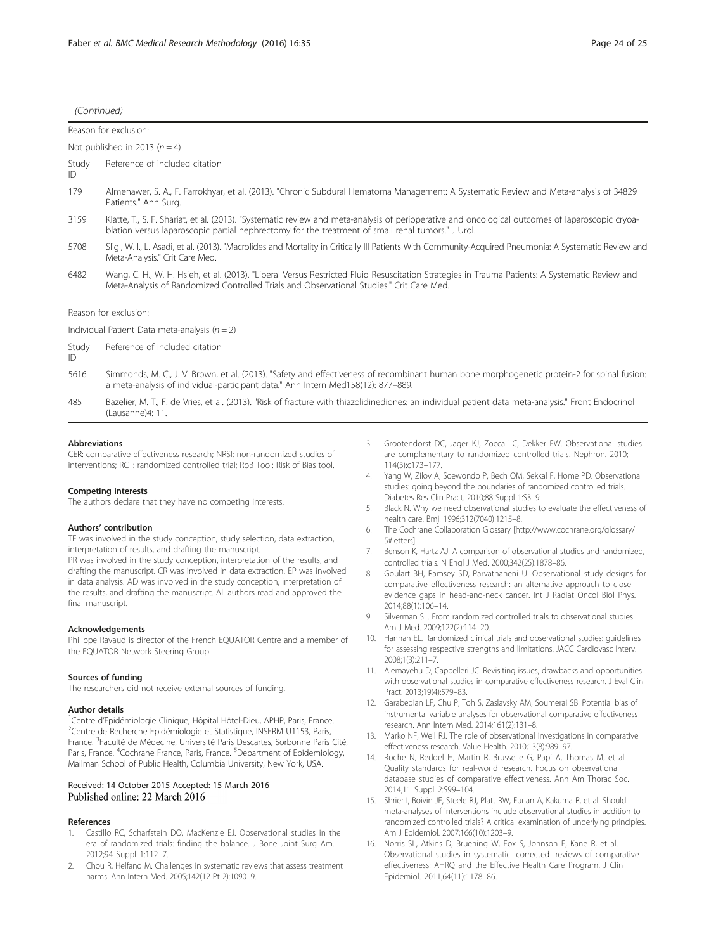<span id="page-23-0"></span>

|             | Reason for exclusion:                                                                                                                                                                                                                                |
|-------------|------------------------------------------------------------------------------------------------------------------------------------------------------------------------------------------------------------------------------------------------------|
|             | Not published in 2013 ( $n = 4$ )                                                                                                                                                                                                                    |
| Study<br>ID | Reference of included citation                                                                                                                                                                                                                       |
| 179         | Almenawer, S. A., F. Farrokhyar, et al. (2013). "Chronic Subdural Hematoma Management: A Systematic Review and Meta-analysis of 34829<br>Patients." Ann Surg.                                                                                        |
| 3159        | Klatte, T., S. F. Shariat, et al. (2013). "Systematic review and meta-analysis of perioperative and oncological outcomes of laparoscopic cryoa-<br>blation versus laparoscopic partial nephrectomy for the treatment of small renal tumors." J Urol. |
| 5708        | Sligl, W. I., L. Asadi, et al. (2013). "Macrolides and Mortality in Critically III Patients With Community-Acquired Pneumonia: A Systematic Review and<br>Meta-Analysis." Crit Care Med.                                                             |
| 6482        | Wang, C. H., W. H. Hsieh, et al. (2013). "Liberal Versus Restricted Fluid Resuscitation Strategies in Trauma Patients: A Systematic Review and<br>Meta-Analysis of Randomized Controlled Trials and Observational Studies." Crit Care Med.           |
|             | Reason for exclusion:                                                                                                                                                                                                                                |
|             | Individual Patient Data meta-analysis ( $n = 2$ )                                                                                                                                                                                                    |
| Study<br>ID | Reference of included citation                                                                                                                                                                                                                       |
| 5616        | Simmonds, M. C., J. V. Brown, et al. (2013). "Safety and effectiveness of recombinant human bone morphogenetic protein-2 for spinal fusion:<br>a meta-analysis of individual-participant data." Ann Intern Med158(12): 877-889.                      |
|             |                                                                                                                                                                                                                                                      |

485 Bazelier, M. T., F. de Vries, et al. (2013). "Risk of fracture with thiazolidinediones: an individual patient data meta-analysis." Front Endocrinol (Lausanne)4: 11.

#### **Abbreviations**

CER: comparative effectiveness research; NRSI: non-randomized studies of interventions; RCT: randomized controlled trial; RoB Tool: Risk of Bias tool.

#### Competing interests

The authors declare that they have no competing interests.

#### Authors' contribution

TF was involved in the study conception, study selection, data extraction, interpretation of results, and drafting the manuscript.

PR was involved in the study conception, interpretation of the results, and drafting the manuscript. CR was involved in data extraction. EP was involved in data analysis. AD was involved in the study conception, interpretation of the results, and drafting the manuscript. All authors read and approved the final manuscript.

#### Acknowledgements

Philippe Ravaud is director of the French EQUATOR Centre and a member of the EQUATOR Network Steering Group.

#### Sources of funding

The researchers did not receive external sources of funding.

#### Author details

<sup>1</sup>Centre d'Epidémiologie Clinique, Hôpital Hôtel-Dieu, APHP, Paris, France.<br><sup>2</sup>Centre de Pecherche Epidémiologie et Statistique, INSERM LL1153, Paris. <sup>2</sup>Centre de Recherche Epidémiologie et Statistique, INSERM U1153, Paris, France. <sup>3</sup>Faculté de Médecine, Université Paris Descartes, Sorbonne Paris Cité, Paris, France. <sup>4</sup>Cochrane France, Paris, France. <sup>5</sup>Department of Epidemiology, Mailman School of Public Health, Columbia University, New York, USA.

#### Received: 14 October 2015 Accepted: 15 March 2016 Published online: 22 March 2016

## References

- Castillo RC, Scharfstein DO, MacKenzie EJ. Observational studies in the era of randomized trials: finding the balance. J Bone Joint Surg Am. 2012;94 Suppl 1:112–7.
- 2. Chou R, Helfand M. Challenges in systematic reviews that assess treatment harms. Ann Intern Med. 2005;142(12 Pt 2):1090–9.
- 3. Grootendorst DC, Jager KJ, Zoccali C, Dekker FW. Observational studies are complementary to randomized controlled trials. Nephron. 2010; 114(3):c173–177.
- 4. Yang W, Zilov A, Soewondo P, Bech OM, Sekkal F, Home PD. Observational studies: going beyond the boundaries of randomized controlled trials. Diabetes Res Clin Pract. 2010;88 Suppl 1:S3–9.
- 5. Black N. Why we need observational studies to evaluate the effectiveness of health care. Bmj. 1996;312(7040):1215–8.
- 6. The Cochrane Collaboration Glossary [\[http://www.cochrane.org/glossary/](http://www.cochrane.org/glossary/5#letters) [5#letters\]](http://www.cochrane.org/glossary/5#letters)
- 7. Benson K, Hartz AJ. A comparison of observational studies and randomized, controlled trials. N Engl J Med. 2000;342(25):1878–86.
- 8. Goulart BH, Ramsey SD, Parvathaneni U. Observational study designs for comparative effectiveness research: an alternative approach to close evidence gaps in head-and-neck cancer. Int J Radiat Oncol Biol Phys. 2014;88(1):106–14.
- 9. Silverman SL. From randomized controlled trials to observational studies. Am J Med. 2009;122(2):114–20.
- 10. Hannan EL. Randomized clinical trials and observational studies: guidelines for assessing respective strengths and limitations. JACC Cardiovasc Interv. 2008;1(3):211–7.
- 11. Alemayehu D, Cappelleri JC. Revisiting issues, drawbacks and opportunities with observational studies in comparative effectiveness research. J Eval Clin Pract. 2013;19(4):579–83.
- 12. Garabedian LF, Chu P, Toh S, Zaslavsky AM, Soumerai SB. Potential bias of instrumental variable analyses for observational comparative effectiveness research. Ann Intern Med. 2014;161(2):131–8.
- 13. Marko NF, Weil RJ. The role of observational investigations in comparative effectiveness research. Value Health. 2010;13(8):989–97.
- 14. Roche N, Reddel H, Martin R, Brusselle G, Papi A, Thomas M, et al. Quality standards for real-world research. Focus on observational database studies of comparative effectiveness. Ann Am Thorac Soc. 2014;11 Suppl 2:S99–104.
- 15. Shrier I, Boivin JF, Steele RJ, Platt RW, Furlan A, Kakuma R, et al. Should meta-analyses of interventions include observational studies in addition to randomized controlled trials? A critical examination of underlying principles. Am J Epidemiol. 2007;166(10):1203–9.
- 16. Norris SL, Atkins D, Bruening W, Fox S, Johnson E, Kane R, et al. Observational studies in systematic [corrected] reviews of comparative effectiveness: AHRQ and the Effective Health Care Program. J Clin Epidemiol. 2011;64(11):1178–86.